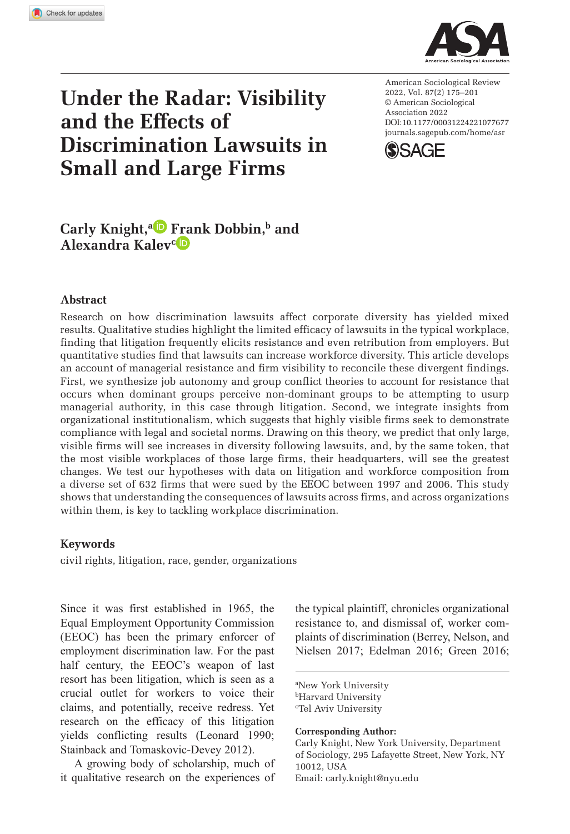**1077[677](http://crossmark.crossref.org/dialog/?doi=10.1177%2F00031224221077677&domain=pdf&date_stamp=2022-03-11)** ASRXXX10.1177/00031224221077677American Sociological ReviewKnight et al.



# **Under the Radar: Visibility and the Effects of Discrimination Lawsuits in Small and Large Firms**

https://doi.org/10.1177/00031224221077677 DOI: 10.1177/00031224221077677 American Sociological Review 2022, Vol. 87(2) 175–201 © American Sociological Association 2022 [journals.sagepub.com/home/asr](https://journals.sagepub.com/home/asr)



# Carly Knight,<sup>a</sup> Frank Dobbin,<sup>b</sup> and **Alexandra Kalevc**

### **Abstract**

Research on how discrimination lawsuits affect corporate diversity has yielded mixed results. Qualitative studies highlight the limited efficacy of lawsuits in the typical workplace, finding that litigation frequently elicits resistance and even retribution from employers. But quantitative studies find that lawsuits can increase workforce diversity. This article develops an account of managerial resistance and firm visibility to reconcile these divergent findings. First, we synthesize job autonomy and group conflict theories to account for resistance that occurs when dominant groups perceive non-dominant groups to be attempting to usurp managerial authority, in this case through litigation. Second, we integrate insights from organizational institutionalism, which suggests that highly visible firms seek to demonstrate compliance with legal and societal norms. Drawing on this theory, we predict that only large, visible firms will see increases in diversity following lawsuits, and, by the same token, that the most visible workplaces of those large firms, their headquarters, will see the greatest changes. We test our hypotheses with data on litigation and workforce composition from a diverse set of 632 firms that were sued by the EEOC between 1997 and 2006. This study shows that understanding the consequences of lawsuits across firms, and across organizations within them, is key to tackling workplace discrimination.

### **Keywords**

civil rights, litigation, race, gender, organizations

Since it was first established in 1965, the Equal Employment Opportunity Commission (EEOC) has been the primary enforcer of employment discrimination law. For the past half century, the EEOC's weapon of last resort has been litigation, which is seen as a crucial outlet for workers to voice their claims, and potentially, receive redress. Yet research on the efficacy of this litigation yields conflicting results (Leonard 1990; Stainback and Tomaskovic-Devey 2012).

A growing body of scholarship, much of it qualitative research on the experiences of the typical plaintiff, chronicles organizational resistance to, and dismissal of, worker complaints of discrimination (Berrey, Nelson, and Nielsen 2017; Edelman 2016; Green 2016;

a New York University **bHarvard University** c Tel Aviv University

**Corresponding Author:**

Carly Knight, New York University, Department of Sociology, 295 Lafayette Street, New York, NY 10012, USA Email: carly.knight@nyu.edu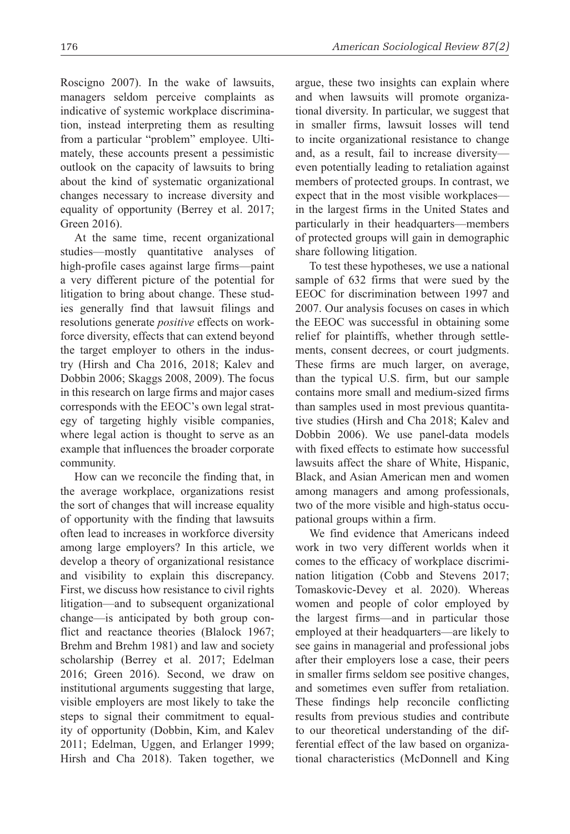Roscigno 2007). In the wake of lawsuits, managers seldom perceive complaints as indicative of systemic workplace discrimination, instead interpreting them as resulting from a particular "problem" employee. Ultimately, these accounts present a pessimistic outlook on the capacity of lawsuits to bring about the kind of systematic organizational changes necessary to increase diversity and equality of opportunity (Berrey et al. 2017; Green 2016).

At the same time, recent organizational studies—mostly quantitative analyses of high-profile cases against large firms—paint a very different picture of the potential for litigation to bring about change. These studies generally find that lawsuit filings and resolutions generate *positive* effects on workforce diversity, effects that can extend beyond the target employer to others in the industry (Hirsh and Cha 2016, 2018; Kalev and Dobbin 2006; Skaggs 2008, 2009). The focus in this research on large firms and major cases corresponds with the EEOC's own legal strategy of targeting highly visible companies, where legal action is thought to serve as an example that influences the broader corporate community.

How can we reconcile the finding that, in the average workplace, organizations resist the sort of changes that will increase equality of opportunity with the finding that lawsuits often lead to increases in workforce diversity among large employers? In this article, we develop a theory of organizational resistance and visibility to explain this discrepancy. First, we discuss how resistance to civil rights litigation—and to subsequent organizational change—is anticipated by both group conflict and reactance theories (Blalock 1967; Brehm and Brehm 1981) and law and society scholarship (Berrey et al. 2017; Edelman 2016; Green 2016). Second, we draw on institutional arguments suggesting that large, visible employers are most likely to take the steps to signal their commitment to equality of opportunity (Dobbin, Kim, and Kalev 2011; Edelman, Uggen, and Erlanger 1999; Hirsh and Cha 2018). Taken together, we argue, these two insights can explain where and when lawsuits will promote organizational diversity. In particular, we suggest that in smaller firms, lawsuit losses will tend to incite organizational resistance to change and, as a result, fail to increase diversity even potentially leading to retaliation against members of protected groups. In contrast, we expect that in the most visible workplaces in the largest firms in the United States and particularly in their headquarters—members of protected groups will gain in demographic share following litigation.

To test these hypotheses, we use a national sample of 632 firms that were sued by the EEOC for discrimination between 1997 and 2007. Our analysis focuses on cases in which the EEOC was successful in obtaining some relief for plaintiffs, whether through settlements, consent decrees, or court judgments. These firms are much larger, on average, than the typical U.S. firm, but our sample contains more small and medium-sized firms than samples used in most previous quantitative studies (Hirsh and Cha 2018; Kalev and Dobbin 2006). We use panel-data models with fixed effects to estimate how successful lawsuits affect the share of White, Hispanic, Black, and Asian American men and women among managers and among professionals, two of the more visible and high-status occupational groups within a firm.

We find evidence that Americans indeed work in two very different worlds when it comes to the efficacy of workplace discrimination litigation (Cobb and Stevens 2017; Tomaskovic-Devey et al. 2020). Whereas women and people of color employed by the largest firms—and in particular those employed at their headquarters—are likely to see gains in managerial and professional jobs after their employers lose a case, their peers in smaller firms seldom see positive changes, and sometimes even suffer from retaliation. These findings help reconcile conflicting results from previous studies and contribute to our theoretical understanding of the differential effect of the law based on organizational characteristics (McDonnell and King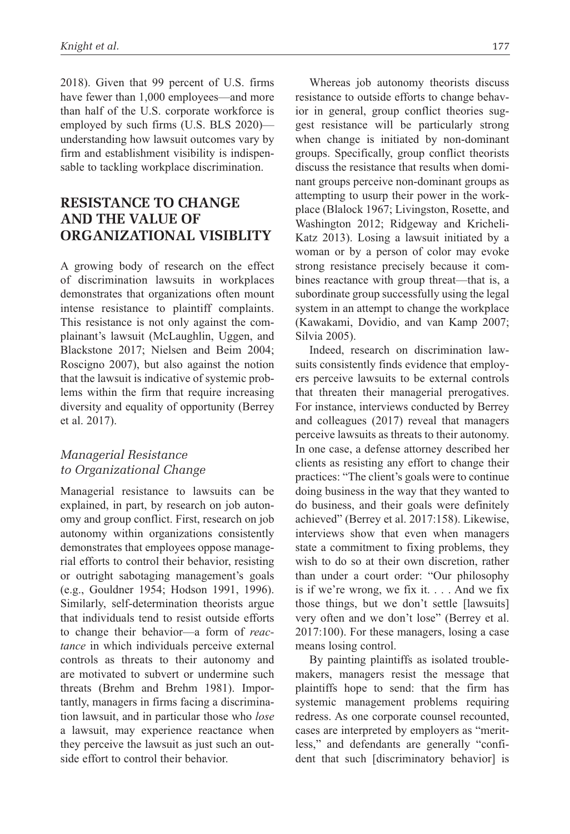2018). Given that 99 percent of U.S. firms have fewer than 1,000 employees—and more than half of the U.S. corporate workforce is employed by such firms (U.S. BLS 2020) understanding how lawsuit outcomes vary by firm and establishment visibility is indispensable to tackling workplace discrimination.

# **Resistance to Change and the Value of Organizational Visiblity**

A growing body of research on the effect of discrimination lawsuits in workplaces demonstrates that organizations often mount intense resistance to plaintiff complaints. This resistance is not only against the complainant's lawsuit (McLaughlin, Uggen, and Blackstone 2017; Nielsen and Beim 2004; Roscigno 2007), but also against the notion that the lawsuit is indicative of systemic problems within the firm that require increasing diversity and equality of opportunity (Berrey et al. 2017).

### *Managerial Resistance to Organizational Change*

Managerial resistance to lawsuits can be explained, in part, by research on job autonomy and group conflict. First, research on job autonomy within organizations consistently demonstrates that employees oppose managerial efforts to control their behavior, resisting or outright sabotaging management's goals (e.g., Gouldner 1954; Hodson 1991, 1996). Similarly, self-determination theorists argue that individuals tend to resist outside efforts to change their behavior—a form of *reactance* in which individuals perceive external controls as threats to their autonomy and are motivated to subvert or undermine such threats (Brehm and Brehm 1981). Importantly, managers in firms facing a discrimination lawsuit, and in particular those who *lose* a lawsuit, may experience reactance when they perceive the lawsuit as just such an outside effort to control their behavior.

Whereas job autonomy theorists discuss resistance to outside efforts to change behavior in general, group conflict theories suggest resistance will be particularly strong when change is initiated by non-dominant groups. Specifically, group conflict theorists discuss the resistance that results when dominant groups perceive non-dominant groups as attempting to usurp their power in the workplace (Blalock 1967; Livingston, Rosette, and Washington 2012; Ridgeway and Kricheli-Katz 2013). Losing a lawsuit initiated by a woman or by a person of color may evoke strong resistance precisely because it combines reactance with group threat—that is, a subordinate group successfully using the legal system in an attempt to change the workplace (Kawakami, Dovidio, and van Kamp 2007; Silvia 2005).

Indeed, research on discrimination lawsuits consistently finds evidence that employers perceive lawsuits to be external controls that threaten their managerial prerogatives. For instance, interviews conducted by Berrey and colleagues (2017) reveal that managers perceive lawsuits as threats to their autonomy. In one case, a defense attorney described her clients as resisting any effort to change their practices: "The client's goals were to continue doing business in the way that they wanted to do business, and their goals were definitely achieved" (Berrey et al. 2017:158). Likewise, interviews show that even when managers state a commitment to fixing problems, they wish to do so at their own discretion, rather than under a court order: "Our philosophy is if we're wrong, we fix it. . . . And we fix those things, but we don't settle [lawsuits] very often and we don't lose" (Berrey et al. 2017:100). For these managers, losing a case means losing control.

By painting plaintiffs as isolated troublemakers, managers resist the message that plaintiffs hope to send: that the firm has systemic management problems requiring redress. As one corporate counsel recounted, cases are interpreted by employers as "meritless," and defendants are generally "confident that such [discriminatory behavior] is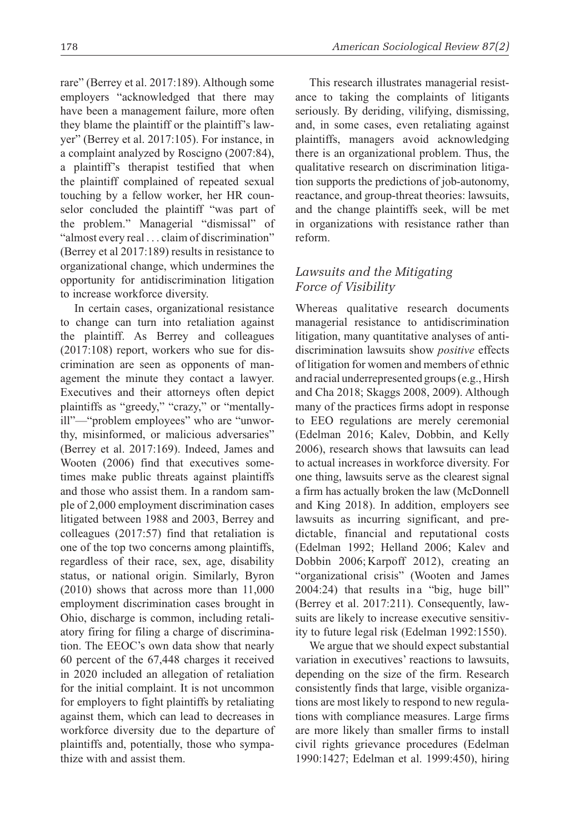rare" (Berrey et al. 2017:189). Although some employers "acknowledged that there may have been a management failure, more often they blame the plaintiff or the plaintiff's lawyer" (Berrey et al. 2017:105). For instance, in a complaint analyzed by Roscigno (2007:84), a plaintiff's therapist testified that when the plaintiff complained of repeated sexual touching by a fellow worker, her HR counselor concluded the plaintiff "was part of the problem." Managerial "dismissal" of "almost every real . . . claim of discrimination" (Berrey et al 2017:189) results in resistance to organizational change, which undermines the opportunity for antidiscrimination litigation to increase workforce diversity.

In certain cases, organizational resistance to change can turn into retaliation against the plaintiff. As Berrey and colleagues (2017:108) report, workers who sue for discrimination are seen as opponents of management the minute they contact a lawyer. Executives and their attorneys often depict plaintiffs as "greedy," "crazy," or "mentallyill"—"problem employees" who are "unworthy, misinformed, or malicious adversaries" (Berrey et al. 2017:169). Indeed, James and Wooten (2006) find that executives sometimes make public threats against plaintiffs and those who assist them. In a random sample of 2,000 employment discrimination cases litigated between 1988 and 2003, Berrey and colleagues (2017:57) find that retaliation is one of the top two concerns among plaintiffs, regardless of their race, sex, age, disability status, or national origin. Similarly, Byron (2010) shows that across more than 11,000 employment discrimination cases brought in Ohio, discharge is common, including retaliatory firing for filing a charge of discrimination. The EEOC's own data show that nearly 60 percent of the 67,448 charges it received in 2020 included an allegation of retaliation for the initial complaint. It is not uncommon for employers to fight plaintiffs by retaliating against them, which can lead to decreases in workforce diversity due to the departure of plaintiffs and, potentially, those who sympathize with and assist them.

This research illustrates managerial resistance to taking the complaints of litigants seriously. By deriding, vilifying, dismissing, and, in some cases, even retaliating against plaintiffs, managers avoid acknowledging there is an organizational problem. Thus, the qualitative research on discrimination litigation supports the predictions of job-autonomy, reactance, and group-threat theories: lawsuits, and the change plaintiffs seek, will be met in organizations with resistance rather than reform.

# *Lawsuits and the Mitigating Force of Visibility*

Whereas qualitative research documents managerial resistance to antidiscrimination litigation, many quantitative analyses of antidiscrimination lawsuits show *positive* effects of litigation for women and members of ethnic and racial underrepresented groups (e.g., Hirsh and Cha 2018; Skaggs 2008, 2009). Although many of the practices firms adopt in response to EEO regulations are merely ceremonial (Edelman 2016; Kalev, Dobbin, and Kelly 2006), research shows that lawsuits can lead to actual increases in workforce diversity. For one thing, lawsuits serve as the clearest signal a firm has actually broken the law (McDonnell and King 2018). In addition, employers see lawsuits as incurring significant, and predictable, financial and reputational costs (Edelman 1992; Helland 2006; Kalev and Dobbin 2006; Karpoff 2012), creating an "organizational crisis" (Wooten and James 2004:24) that results in a "big, huge bill" (Berrey et al. 2017:211). Consequently, lawsuits are likely to increase executive sensitivity to future legal risk (Edelman 1992:1550).

We argue that we should expect substantial variation in executives' reactions to lawsuits, depending on the size of the firm. Research consistently finds that large, visible organizations are most likely to respond to new regulations with compliance measures. Large firms are more likely than smaller firms to install civil rights grievance procedures (Edelman 1990:1427; Edelman et al. 1999:450), hiring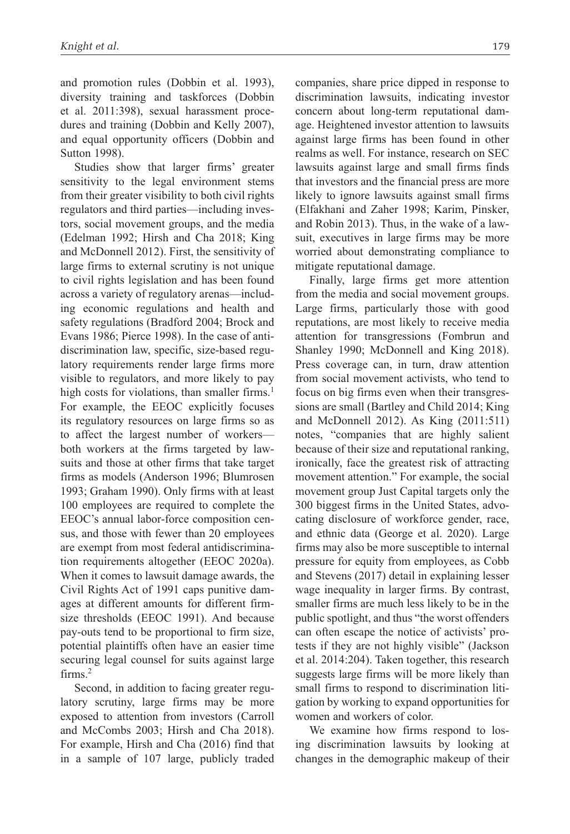and promotion rules (Dobbin et al. 1993), diversity training and taskforces (Dobbin et al. 2011:398), sexual harassment procedures and training (Dobbin and Kelly 2007), and equal opportunity officers (Dobbin and Sutton 1998).

Studies show that larger firms' greater sensitivity to the legal environment stems from their greater visibility to both civil rights regulators and third parties—including investors, social movement groups, and the media (Edelman 1992; Hirsh and Cha 2018; King and McDonnell 2012). First, the sensitivity of large firms to external scrutiny is not unique to civil rights legislation and has been found across a variety of regulatory arenas—including economic regulations and health and safety regulations (Bradford 2004; Brock and Evans 1986; Pierce 1998). In the case of antidiscrimination law, specific, size-based regulatory requirements render large firms more visible to regulators, and more likely to pay high costs for violations, than smaller firms.<sup>1</sup> For example, the EEOC explicitly focuses its regulatory resources on large firms so as to affect the largest number of workers both workers at the firms targeted by lawsuits and those at other firms that take target firms as models (Anderson 1996; Blumrosen 1993; Graham 1990). Only firms with at least 100 employees are required to complete the EEOC's annual labor-force composition census, and those with fewer than 20 employees are exempt from most federal antidiscrimination requirements altogether (EEOC 2020a). When it comes to lawsuit damage awards, the Civil Rights Act of 1991 caps punitive damages at different amounts for different firmsize thresholds (EEOC 1991). And because pay-outs tend to be proportional to firm size, potential plaintiffs often have an easier time securing legal counsel for suits against large firms.<sup>2</sup>

Second, in addition to facing greater regulatory scrutiny, large firms may be more exposed to attention from investors (Carroll and McCombs 2003; Hirsh and Cha 2018). For example, Hirsh and Cha (2016) find that in a sample of 107 large, publicly traded companies, share price dipped in response to discrimination lawsuits, indicating investor concern about long-term reputational damage. Heightened investor attention to lawsuits against large firms has been found in other realms as well. For instance, research on SEC lawsuits against large and small firms finds that investors and the financial press are more likely to ignore lawsuits against small firms (Elfakhani and Zaher 1998; Karim, Pinsker, and Robin 2013). Thus, in the wake of a lawsuit, executives in large firms may be more worried about demonstrating compliance to mitigate reputational damage.

Finally, large firms get more attention from the media and social movement groups. Large firms, particularly those with good reputations, are most likely to receive media attention for transgressions (Fombrun and Shanley 1990; McDonnell and King 2018). Press coverage can, in turn, draw attention from social movement activists, who tend to focus on big firms even when their transgressions are small (Bartley and Child 2014; King and McDonnell 2012). As King (2011:511) notes, "companies that are highly salient because of their size and reputational ranking, ironically, face the greatest risk of attracting movement attention." For example, the social movement group Just Capital targets only the 300 biggest firms in the United States, advocating disclosure of workforce gender, race, and ethnic data (George et al. 2020). Large firms may also be more susceptible to internal pressure for equity from employees, as Cobb and Stevens (2017) detail in explaining lesser wage inequality in larger firms. By contrast, smaller firms are much less likely to be in the public spotlight, and thus "the worst offenders can often escape the notice of activists' protests if they are not highly visible" (Jackson et al. 2014:204). Taken together, this research suggests large firms will be more likely than small firms to respond to discrimination litigation by working to expand opportunities for women and workers of color.

We examine how firms respond to losing discrimination lawsuits by looking at changes in the demographic makeup of their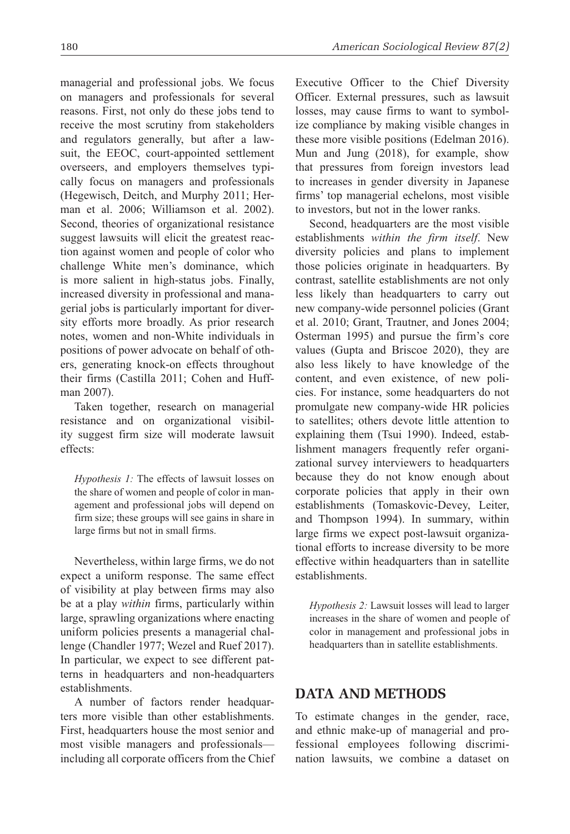managerial and professional jobs. We focus on managers and professionals for several reasons. First, not only do these jobs tend to receive the most scrutiny from stakeholders and regulators generally, but after a lawsuit, the EEOC, court-appointed settlement overseers, and employers themselves typically focus on managers and professionals (Hegewisch, Deitch, and Murphy 2011; Herman et al. 2006; Williamson et al. 2002). Second, theories of organizational resistance suggest lawsuits will elicit the greatest reaction against women and people of color who challenge White men's dominance, which is more salient in high-status jobs. Finally, increased diversity in professional and managerial jobs is particularly important for diversity efforts more broadly. As prior research notes, women and non-White individuals in positions of power advocate on behalf of others, generating knock-on effects throughout their firms (Castilla 2011; Cohen and Huffman 2007).

Taken together, research on managerial resistance and on organizational visibility suggest firm size will moderate lawsuit effects:

*Hypothesis 1:* The effects of lawsuit losses on the share of women and people of color in management and professional jobs will depend on firm size; these groups will see gains in share in large firms but not in small firms.

Nevertheless, within large firms, we do not expect a uniform response. The same effect of visibility at play between firms may also be at a play *within* firms, particularly within large, sprawling organizations where enacting uniform policies presents a managerial challenge (Chandler 1977; Wezel and Ruef 2017). In particular, we expect to see different patterns in headquarters and non-headquarters establishments.

A number of factors render headquarters more visible than other establishments. First, headquarters house the most senior and most visible managers and professionals including all corporate officers from the Chief Executive Officer to the Chief Diversity Officer. External pressures, such as lawsuit losses, may cause firms to want to symbolize compliance by making visible changes in these more visible positions (Edelman 2016). Mun and Jung (2018), for example, show that pressures from foreign investors lead to increases in gender diversity in Japanese firms' top managerial echelons, most visible to investors, but not in the lower ranks.

Second, headquarters are the most visible establishments *within the firm itself*. New diversity policies and plans to implement those policies originate in headquarters. By contrast, satellite establishments are not only less likely than headquarters to carry out new company-wide personnel policies (Grant et al. 2010; Grant, Trautner, and Jones 2004; Osterman 1995) and pursue the firm's core values (Gupta and Briscoe 2020), they are also less likely to have knowledge of the content, and even existence, of new policies. For instance, some headquarters do not promulgate new company-wide HR policies to satellites; others devote little attention to explaining them (Tsui 1990). Indeed, establishment managers frequently refer organizational survey interviewers to headquarters because they do not know enough about corporate policies that apply in their own establishments (Tomaskovic-Devey, Leiter, and Thompson 1994). In summary, within large firms we expect post-lawsuit organizational efforts to increase diversity to be more effective within headquarters than in satellite establishments.

*Hypothesis 2:* Lawsuit losses will lead to larger increases in the share of women and people of color in management and professional jobs in headquarters than in satellite establishments.

# **Data and Methods**

To estimate changes in the gender, race, and ethnic make-up of managerial and professional employees following discrimination lawsuits, we combine a dataset on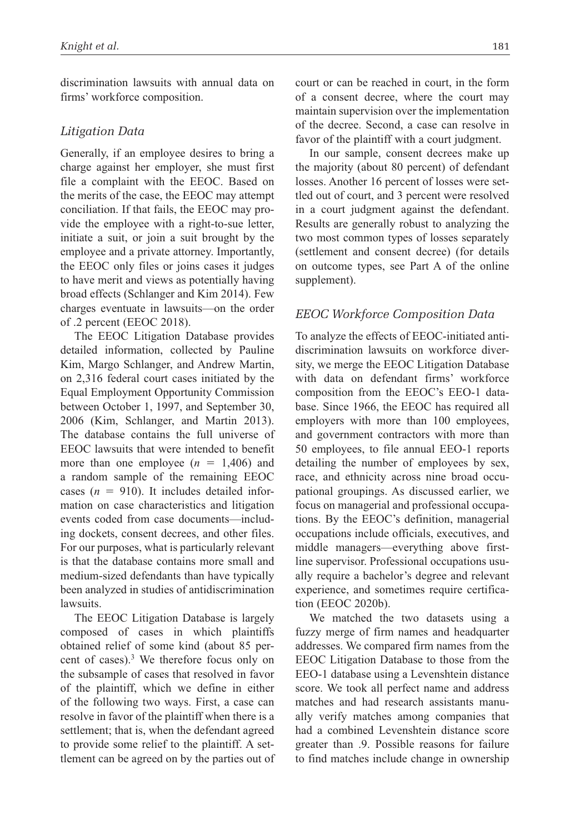discrimination lawsuits with annual data on firms' workforce composition.

### *Litigation Data*

Generally, if an employee desires to bring a charge against her employer, she must first file a complaint with the EEOC. Based on the merits of the case, the EEOC may attempt conciliation. If that fails, the EEOC may provide the employee with a right-to-sue letter, initiate a suit, or join a suit brought by the employee and a private attorney. Importantly, the EEOC only files or joins cases it judges to have merit and views as potentially having broad effects (Schlanger and Kim 2014). Few charges eventuate in lawsuits—on the order of .2 percent (EEOC 2018).

The EEOC Litigation Database provides detailed information, collected by Pauline Kim, Margo Schlanger, and Andrew Martin, on 2,316 federal court cases initiated by the Equal Employment Opportunity Commission between October 1, 1997, and September 30, 2006 (Kim, Schlanger, and Martin 2013). The database contains the full universe of EEOC lawsuits that were intended to benefit more than one employee  $(n = 1,406)$  and a random sample of the remaining EEOC cases  $(n = 910)$ . It includes detailed information on case characteristics and litigation events coded from case documents—including dockets, consent decrees, and other files. For our purposes, what is particularly relevant is that the database contains more small and medium-sized defendants than have typically been analyzed in studies of antidiscrimination lawsuits.

The EEOC Litigation Database is largely composed of cases in which plaintiffs obtained relief of some kind (about 85 percent of cases).<sup>3</sup> We therefore focus only on the subsample of cases that resolved in favor of the plaintiff, which we define in either of the following two ways. First, a case can resolve in favor of the plaintiff when there is a settlement; that is, when the defendant agreed to provide some relief to the plaintiff. A settlement can be agreed on by the parties out of

court or can be reached in court, in the form of a consent decree, where the court may maintain supervision over the implementation of the decree. Second, a case can resolve in favor of the plaintiff with a court judgment.

In our sample, consent decrees make up the majority (about 80 percent) of defendant losses. Another 16 percent of losses were settled out of court, and 3 percent were resolved in a court judgment against the defendant. Results are generally robust to analyzing the two most common types of losses separately (settlement and consent decree) (for details on outcome types, see Part A of the online supplement).

### *EEOC Workforce Composition Data*

To analyze the effects of EEOC-initiated antidiscrimination lawsuits on workforce diversity, we merge the EEOC Litigation Database with data on defendant firms' workforce composition from the EEOC's EEO-1 database. Since 1966, the EEOC has required all employers with more than 100 employees, and government contractors with more than 50 employees, to file annual EEO-1 reports detailing the number of employees by sex, race, and ethnicity across nine broad occupational groupings. As discussed earlier, we focus on managerial and professional occupations. By the EEOC's definition, managerial occupations include officials, executives, and middle managers—everything above firstline supervisor. Professional occupations usually require a bachelor's degree and relevant experience, and sometimes require certification (EEOC 2020b).

We matched the two datasets using a fuzzy merge of firm names and headquarter addresses. We compared firm names from the EEOC Litigation Database to those from the EEO-1 database using a Levenshtein distance score. We took all perfect name and address matches and had research assistants manually verify matches among companies that had a combined Levenshtein distance score greater than .9. Possible reasons for failure to find matches include change in ownership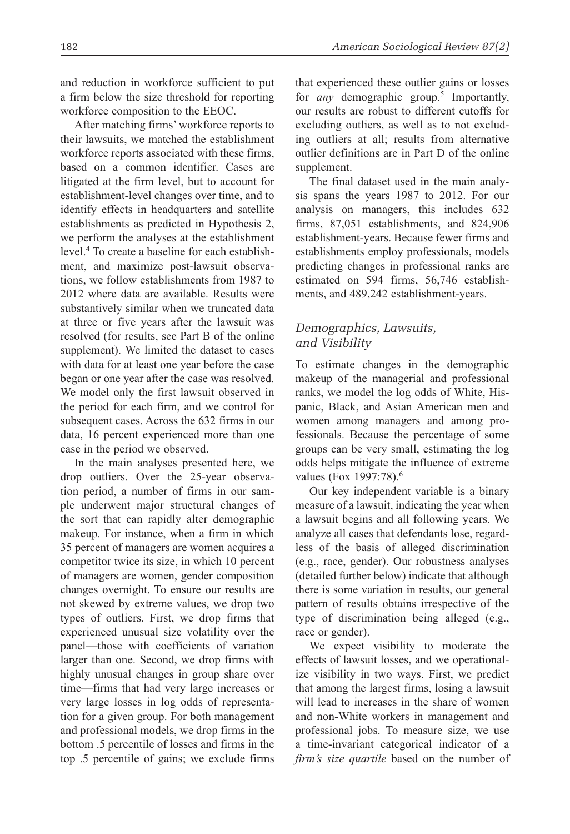and reduction in workforce sufficient to put a firm below the size threshold for reporting workforce composition to the EEOC.

After matching firms' workforce reports to their lawsuits, we matched the establishment workforce reports associated with these firms, based on a common identifier. Cases are litigated at the firm level, but to account for establishment-level changes over time, and to identify effects in headquarters and satellite establishments as predicted in Hypothesis 2, we perform the analyses at the establishment level.4 To create a baseline for each establishment, and maximize post-lawsuit observations, we follow establishments from 1987 to 2012 where data are available. Results were substantively similar when we truncated data at three or five years after the lawsuit was resolved (for results, see Part B of the online supplement). We limited the dataset to cases with data for at least one year before the case began or one year after the case was resolved. We model only the first lawsuit observed in the period for each firm, and we control for subsequent cases. Across the 632 firms in our data, 16 percent experienced more than one case in the period we observed.

In the main analyses presented here, we drop outliers. Over the 25-year observation period, a number of firms in our sample underwent major structural changes of the sort that can rapidly alter demographic makeup. For instance, when a firm in which 35 percent of managers are women acquires a competitor twice its size, in which 10 percent of managers are women, gender composition changes overnight. To ensure our results are not skewed by extreme values, we drop two types of outliers. First, we drop firms that experienced unusual size volatility over the panel—those with coefficients of variation larger than one. Second, we drop firms with highly unusual changes in group share over time—firms that had very large increases or very large losses in log odds of representation for a given group. For both management and professional models, we drop firms in the bottom .5 percentile of losses and firms in the top .5 percentile of gains; we exclude firms

that experienced these outlier gains or losses for *any* demographic group.<sup>5</sup> Importantly, our results are robust to different cutoffs for excluding outliers, as well as to not excluding outliers at all; results from alternative outlier definitions are in Part D of the online supplement.

The final dataset used in the main analysis spans the years 1987 to 2012. For our analysis on managers, this includes 632 firms, 87,051 establishments, and 824,906 establishment-years. Because fewer firms and establishments employ professionals, models predicting changes in professional ranks are estimated on 594 firms, 56,746 establishments, and 489,242 establishment-years.

# *Demographics, Lawsuits, and Visibility*

To estimate changes in the demographic makeup of the managerial and professional ranks, we model the log odds of White, Hispanic, Black, and Asian American men and women among managers and among professionals. Because the percentage of some groups can be very small, estimating the log odds helps mitigate the influence of extreme values (Fox 1997:78).<sup>6</sup>

Our key independent variable is a binary measure of a lawsuit, indicating the year when a lawsuit begins and all following years. We analyze all cases that defendants lose, regardless of the basis of alleged discrimination (e.g., race, gender). Our robustness analyses (detailed further below) indicate that although there is some variation in results, our general pattern of results obtains irrespective of the type of discrimination being alleged (e.g., race or gender).

We expect visibility to moderate the effects of lawsuit losses, and we operationalize visibility in two ways. First, we predict that among the largest firms, losing a lawsuit will lead to increases in the share of women and non-White workers in management and professional jobs. To measure size, we use a time-invariant categorical indicator of a *firm's size quartile* based on the number of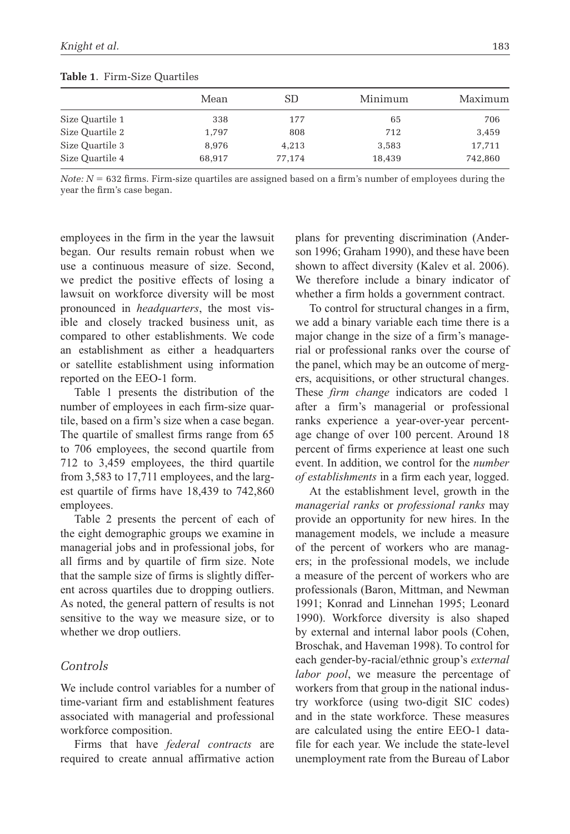L

| $\frac{1}{2}$   |       |       |         |         |
|-----------------|-------|-------|---------|---------|
|                 | Mean  | SD    | Minimum | Maximum |
| Size Quartile 1 | 338   | 177   | 65      | 706     |
| Size Quartile 2 | 1.797 | 808   | 712     | 3,459   |
| Size Quartile 3 | 8.976 | 4,213 | 3,583   | 17.711  |

**Table 1**. Firm-Size Quartiles

*Note: N* = 632 firms. Firm-size quartiles are assigned based on a firm's number of employees during the year the firm's case began.

Size Quartile 4 68,917 77,174 18,439 742,860

employees in the firm in the year the lawsuit began. Our results remain robust when we use a continuous measure of size. Second, we predict the positive effects of losing a lawsuit on workforce diversity will be most pronounced in *headquarters*, the most visible and closely tracked business unit, as compared to other establishments. We code an establishment as either a headquarters or satellite establishment using information reported on the EEO-1 form.

Table 1 presents the distribution of the number of employees in each firm-size quartile, based on a firm's size when a case began. The quartile of smallest firms range from 65 to 706 employees, the second quartile from 712 to 3,459 employees, the third quartile from 3,583 to 17,711 employees, and the largest quartile of firms have 18,439 to 742,860 employees.

Table 2 presents the percent of each of the eight demographic groups we examine in managerial jobs and in professional jobs, for all firms and by quartile of firm size. Note that the sample size of firms is slightly different across quartiles due to dropping outliers. As noted, the general pattern of results is not sensitive to the way we measure size, or to whether we drop outliers.

### *Controls*

We include control variables for a number of time-variant firm and establishment features associated with managerial and professional workforce composition.

Firms that have *federal contracts* are required to create annual affirmative action plans for preventing discrimination (Anderson 1996; Graham 1990), and these have been shown to affect diversity (Kalev et al. 2006). We therefore include a binary indicator of whether a firm holds a government contract.

To control for structural changes in a firm, we add a binary variable each time there is a major change in the size of a firm's managerial or professional ranks over the course of the panel, which may be an outcome of mergers, acquisitions, or other structural changes. These *firm change* indicators are coded 1 after a firm's managerial or professional ranks experience a year-over-year percentage change of over 100 percent. Around 18 percent of firms experience at least one such event. In addition, we control for the *number of establishments* in a firm each year, logged.

At the establishment level, growth in the *managerial ranks* or *professional ranks* may provide an opportunity for new hires. In the management models, we include a measure of the percent of workers who are managers; in the professional models, we include a measure of the percent of workers who are professionals (Baron, Mittman, and Newman 1991; Konrad and Linnehan 1995; Leonard 1990). Workforce diversity is also shaped by external and internal labor pools (Cohen, Broschak, and Haveman 1998). To control for each gender-by-racial/ethnic group's *external labor pool*, we measure the percentage of workers from that group in the national industry workforce (using two-digit SIC codes) and in the state workforce. These measures are calculated using the entire EEO-1 datafile for each year. We include the state-level unemployment rate from the Bureau of Labor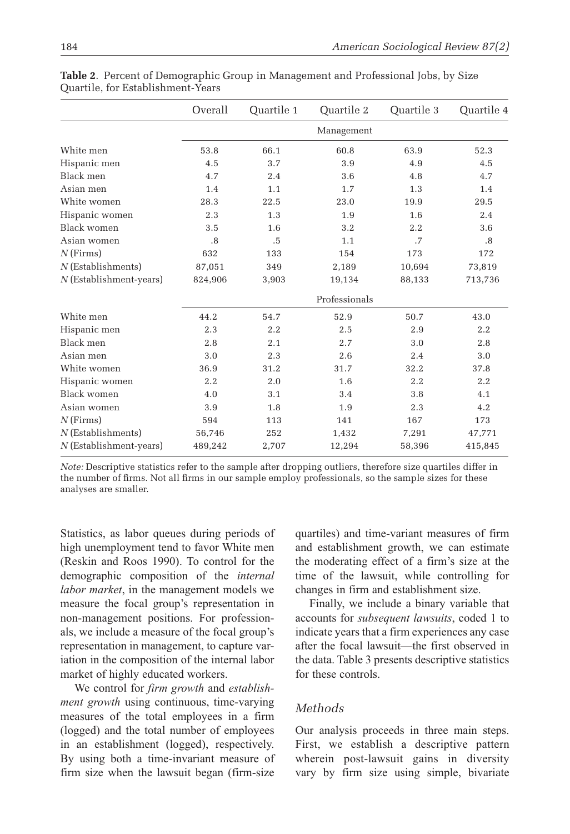|                           | Overall | Quartile 1 | Ouartile 2    | Quartile 3 | Quartile 4 |  |
|---------------------------|---------|------------|---------------|------------|------------|--|
|                           |         |            | Management    |            |            |  |
| White men                 | 53.8    | 66.1       | 60.8          | 63.9       | 52.3       |  |
| Hispanic men              | 4.5     | 3.7        | 3.9           | 4.9        | 4.5        |  |
| Black men                 | 4.7     | 2.4        | 3.6           | 4.8        | 4.7        |  |
| Asian men                 | 1.4     | 1.1        | 1.7           | 1.3        | 1.4        |  |
| White women               | 28.3    | 22.5       | 23.0          | 19.9       | 29.5       |  |
| Hispanic women            | 2.3     | 1.3        | 1.9           | 1.6        | 2.4        |  |
| Black women               | 3.5     | 1.6        | 3.2           | 2.2        | 3.6        |  |
| Asian women               | .8      | .5         | 1.1           | .7         | .8         |  |
| $N$ (Firms)               | 632     | 133        | 154           | 173        | 172        |  |
| $N$ (Establishments)      | 87,051  | 349        | 2,189         | 10,694     | 73,819     |  |
| N (Establishment-years)   | 824,906 | 3,903      | 19,134        | 88,133     | 713,736    |  |
|                           |         |            | Professionals |            |            |  |
| White men                 | 44.2    | 54.7       | 52.9          | 50.7       | 43.0       |  |
| Hispanic men              | 2.3     | 2.2        | 2.5           | 2.9        | 2.2        |  |
| Black men                 | 2.8     | 2.1        | 2.7           | 3.0        | 2.8        |  |
| Asian men                 | 3.0     | 2.3        | 2.6           | 2.4        | 3.0        |  |
| White women               | 36.9    | 31.2       | 31.7          | 32.2       | 37.8       |  |
| Hispanic women            | 2.2     | 2.0        | 1.6           | 2.2        | 2.2        |  |
| Black women               | 4.0     | 3.1        | 3.4           | 3.8        | 4.1        |  |
| Asian women               | 3.9     | 1.8        | 1.9           | 2.3        | 4.2        |  |
| $N$ (Firms)               | 594     | 113        | 141           | 167        | 173        |  |
| $N$ (Establishments)      | 56,746  | 252        | 1,432         | 7,291      | 47,771     |  |
| $N$ (Establishment-years) | 489,242 | 2,707      | 12,294        | 58,396     | 415,845    |  |

**Table 2**. Percent of Demographic Group in Management and Professional Jobs, by Size Quartile, for Establishment-Years

*Note:* Descriptive statistics refer to the sample after dropping outliers, therefore size quartiles differ in the number of firms. Not all firms in our sample employ professionals, so the sample sizes for these analyses are smaller.

Statistics, as labor queues during periods of high unemployment tend to favor White men (Reskin and Roos 1990). To control for the demographic composition of the *internal labor market*, in the management models we measure the focal group's representation in non-management positions. For professionals, we include a measure of the focal group's representation in management, to capture variation in the composition of the internal labor market of highly educated workers.

We control for *firm growth* and *establishment growth* using continuous, time-varying measures of the total employees in a firm (logged) and the total number of employees in an establishment (logged), respectively. By using both a time-invariant measure of firm size when the lawsuit began (firm-size

quartiles) and time-variant measures of firm and establishment growth, we can estimate the moderating effect of a firm's size at the time of the lawsuit, while controlling for changes in firm and establishment size.

Finally, we include a binary variable that accounts for *subsequent lawsuits*, coded 1 to indicate years that a firm experiences any case after the focal lawsuit—the first observed in the data. Table 3 presents descriptive statistics for these controls.

### *Methods*

Our analysis proceeds in three main steps. First, we establish a descriptive pattern wherein post-lawsuit gains in diversity vary by firm size using simple, bivariate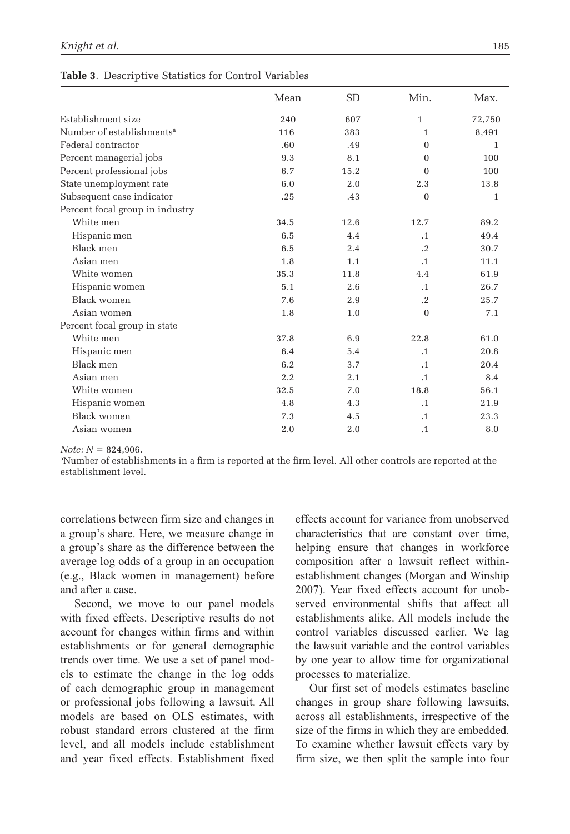|  | Table 3. Descriptive Statistics for Control Variables |  |  |  |
|--|-------------------------------------------------------|--|--|--|
|--|-------------------------------------------------------|--|--|--|

|                                       | Mean | <b>SD</b> | Min.         | Max.   |
|---------------------------------------|------|-----------|--------------|--------|
| Establishment size                    | 240  | 607       | $\mathbf{1}$ | 72,750 |
| Number of establishments <sup>a</sup> | 116  | 383       | $\mathbf{1}$ | 8,491  |
| Federal contractor                    | .60  | .49       | $\Omega$     | 1      |
| Percent managerial jobs               | 9.3  | 8.1       | $\Omega$     | 100    |
| Percent professional jobs             | 6.7  | 15.2      | $\Omega$     | 100    |
| State unemployment rate               | 6.0  | 2.0       | 2.3          | 13.8   |
| Subsequent case indicator             | .25  | .43       | $\mathbf{0}$ | 1      |
| Percent focal group in industry       |      |           |              |        |
| White men                             | 34.5 | 12.6      | 12.7         | 89.2   |
| Hispanic men                          | 6.5  | 4.4       | $\cdot$ 1    | 49.4   |
| Black men                             | 6.5  | 2.4       | $\cdot$ .2   | 30.7   |
| Asian men                             | 1.8  | 1.1       | $\cdot$ 1    | 11.1   |
| White women                           | 35.3 | 11.8      | 4.4          | 61.9   |
| Hispanic women                        | 5.1  | 2.6       | $\cdot$ 1    | 26.7   |
| Black women                           | 7.6  | 2.9       | $\cdot$ .2   | 25.7   |
| Asian women                           | 1.8  | 1.0       | $\mathbf{0}$ | 7.1    |
| Percent focal group in state          |      |           |              |        |
| White men                             | 37.8 | 6.9       | 22.8         | 61.0   |
| Hispanic men                          | 6.4  | 5.4       | $\cdot$ 1    | 20.8   |
| Black men                             | 6.2  | 3.7       | $\cdot$ 1    | 20.4   |
| Asian men                             | 2.2  | 2.1       | $\cdot$ 1    | 8.4    |
| White women                           | 32.5 | 7.0       | 18.8         | 56.1   |
| Hispanic women                        | 4.8  | 4.3       | $\cdot$ 1    | 21.9   |
| <b>Black women</b>                    | 7.3  | 4.5       | $\cdot$ 1    | 23.3   |
| Asian women                           | 2.0  | 2.0       | $\cdot$ 1    | 8.0    |

*Note: N* = 824,906.

a Number of establishments in a firm is reported at the firm level. All other controls are reported at the establishment level.

correlations between firm size and changes in a group's share. Here, we measure change in a group's share as the difference between the average log odds of a group in an occupation (e.g., Black women in management) before and after a case.

Second, we move to our panel models with fixed effects. Descriptive results do not account for changes within firms and within establishments or for general demographic trends over time. We use a set of panel models to estimate the change in the log odds of each demographic group in management or professional jobs following a lawsuit. All models are based on OLS estimates, with robust standard errors clustered at the firm level, and all models include establishment and year fixed effects. Establishment fixed effects account for variance from unobserved characteristics that are constant over time, helping ensure that changes in workforce composition after a lawsuit reflect withinestablishment changes (Morgan and Winship 2007). Year fixed effects account for unobserved environmental shifts that affect all establishments alike. All models include the control variables discussed earlier. We lag the lawsuit variable and the control variables by one year to allow time for organizational processes to materialize.

Our first set of models estimates baseline changes in group share following lawsuits, across all establishments, irrespective of the size of the firms in which they are embedded. To examine whether lawsuit effects vary by firm size, we then split the sample into four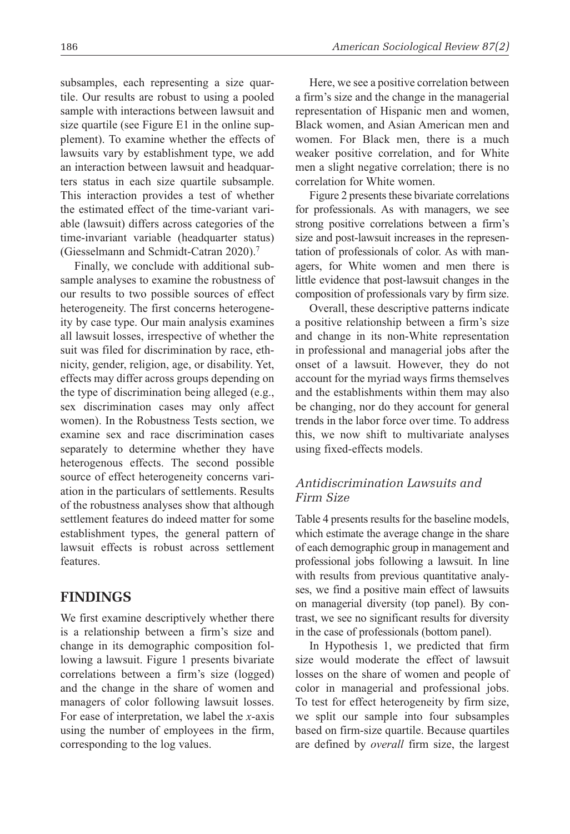subsamples, each representing a size quartile. Our results are robust to using a pooled sample with interactions between lawsuit and size quartile (see Figure E1 in the online supplement). To examine whether the effects of lawsuits vary by establishment type, we add an interaction between lawsuit and headquarters status in each size quartile subsample. This interaction provides a test of whether the estimated effect of the time-variant variable (lawsuit) differs across categories of the time-invariant variable (headquarter status) (Giesselmann and Schmidt-Catran 2020).7

Finally, we conclude with additional subsample analyses to examine the robustness of our results to two possible sources of effect heterogeneity. The first concerns heterogeneity by case type. Our main analysis examines all lawsuit losses, irrespective of whether the suit was filed for discrimination by race, ethnicity, gender, religion, age, or disability. Yet, effects may differ across groups depending on the type of discrimination being alleged (e.g., sex discrimination cases may only affect women). In the Robustness Tests section, we examine sex and race discrimination cases separately to determine whether they have heterogenous effects. The second possible source of effect heterogeneity concerns variation in the particulars of settlements. Results of the robustness analyses show that although settlement features do indeed matter for some establishment types, the general pattern of lawsuit effects is robust across settlement features.

# **Findings**

We first examine descriptively whether there is a relationship between a firm's size and change in its demographic composition following a lawsuit. Figure 1 presents bivariate correlations between a firm's size (logged) and the change in the share of women and managers of color following lawsuit losses. For ease of interpretation, we label the *x*-axis using the number of employees in the firm, corresponding to the log values.

Here, we see a positive correlation between a firm's size and the change in the managerial representation of Hispanic men and women, Black women, and Asian American men and women. For Black men, there is a much weaker positive correlation, and for White men a slight negative correlation; there is no correlation for White women.

Figure 2 presents these bivariate correlations for professionals. As with managers, we see strong positive correlations between a firm's size and post-lawsuit increases in the representation of professionals of color. As with managers, for White women and men there is little evidence that post-lawsuit changes in the composition of professionals vary by firm size.

Overall, these descriptive patterns indicate a positive relationship between a firm's size and change in its non-White representation in professional and managerial jobs after the onset of a lawsuit. However, they do not account for the myriad ways firms themselves and the establishments within them may also be changing, nor do they account for general trends in the labor force over time. To address this, we now shift to multivariate analyses using fixed-effects models.

# *Antidiscrimination Lawsuits and Firm Size*

Table 4 presents results for the baseline models, which estimate the average change in the share of each demographic group in management and professional jobs following a lawsuit. In line with results from previous quantitative analyses, we find a positive main effect of lawsuits on managerial diversity (top panel). By contrast, we see no significant results for diversity in the case of professionals (bottom panel).

In Hypothesis 1, we predicted that firm size would moderate the effect of lawsuit losses on the share of women and people of color in managerial and professional jobs. To test for effect heterogeneity by firm size, we split our sample into four subsamples based on firm-size quartile. Because quartiles are defined by *overall* firm size, the largest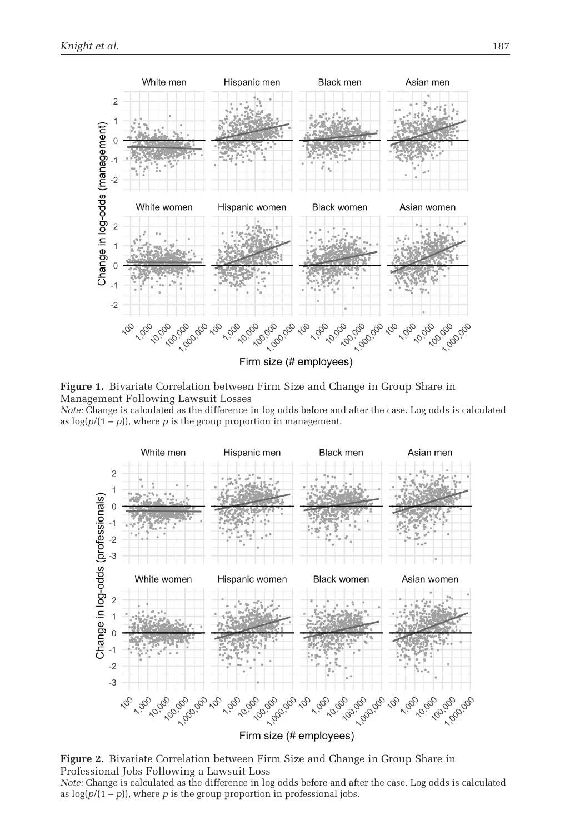

**Figure 1.** Bivariate Correlation between Firm Size and Change in Group Share in Management Following Lawsuit Losses

*Note:* Change is calculated as the difference in log odds before and after the case. Log odds is calculated as  $log(p/(1-p))$ , where *p* is the group proportion in management.



**Figure 2.** Bivariate Correlation between Firm Size and Change in Group Share in Professional Jobs Following a Lawsuit Loss

*Note:* Change is calculated as the difference in log odds before and after the case. Log odds is calculated as  $log(p/(1-p))$ , where *p* is the group proportion in professional jobs.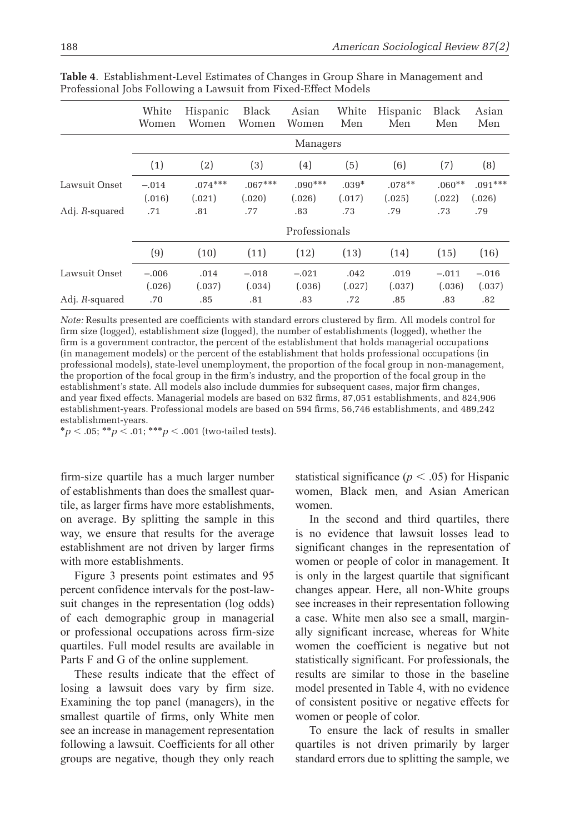|                | White<br>Women    | Hispanic<br>Women   | Black<br>Women      | Asian<br>Women      | White<br>Men      | Hispanic<br>Men    | <b>Black</b><br>Men | Asian<br>Men        |  |
|----------------|-------------------|---------------------|---------------------|---------------------|-------------------|--------------------|---------------------|---------------------|--|
|                |                   |                     |                     | Managers            |                   |                    |                     |                     |  |
|                | (1)               | (2)                 | (3)                 | (4)                 | (5)               | (6)                | (7)                 | (8)                 |  |
| Lawsuit Onset  | $-.014$<br>(.016) | $.074***$<br>(.021) | $.067***$<br>(.020) | $.090***$<br>(.026) | $.039*$<br>(.017) | $.078**$<br>(.025) | $.060**$<br>(.022)  | $.091***$<br>(.026) |  |
| Adj. R-squared | .71               | .81                 | .77                 | .83                 | .73               | .79                | .73                 | .79                 |  |
|                |                   |                     |                     | Professionals       |                   |                    |                     |                     |  |
|                | (9)               | (10)                | (11)                | (12)                | (13)              | (14)               | (15)                | (16)                |  |
| Lawsuit Onset  | $-.006$<br>(.026) | .014<br>(.037)      | $-.018$<br>(.034)   | $-.021$<br>(.036)   | .042<br>(.027)    | .019<br>(.037)     | $-.011$<br>(.036)   | $-.016$<br>(.037)   |  |
| Adj. R-squared | .70               | .85                 | .81                 | .83                 | .72               | .85                | .83                 | .82                 |  |

**Table 4**. Establishment-Level Estimates of Changes in Group Share in Management and Professional Jobs Following a Lawsuit from Fixed-Effect Models

*Note:* Results presented are coefficients with standard errors clustered by firm. All models control for firm size (logged), establishment size (logged), the number of establishments (logged), whether the firm is a government contractor, the percent of the establishment that holds managerial occupations (in management models) or the percent of the establishment that holds professional occupations (in professional models), state-level unemployment, the proportion of the focal group in non-management, the proportion of the focal group in the firm's industry, and the proportion of the focal group in the establishment's state. All models also include dummies for subsequent cases, major firm changes, and year fixed effects. Managerial models are based on 632 firms, 87,051 establishments, and 824,906 establishment-years. Professional models are based on 594 firms, 56,746 establishments, and 489,242 establishment-years.

\**p* < .05; \*\**p* < .01; \*\*\**p* < .001 (two-tailed tests).

firm-size quartile has a much larger number of establishments than does the smallest quartile, as larger firms have more establishments, on average. By splitting the sample in this way, we ensure that results for the average establishment are not driven by larger firms with more establishments.

Figure 3 presents point estimates and 95 percent confidence intervals for the post-lawsuit changes in the representation (log odds) of each demographic group in managerial or professional occupations across firm-size quartiles. Full model results are available in Parts F and G of the online supplement.

These results indicate that the effect of losing a lawsuit does vary by firm size. Examining the top panel (managers), in the smallest quartile of firms, only White men see an increase in management representation following a lawsuit. Coefficients for all other groups are negative, though they only reach

statistical significance ( $p < .05$ ) for Hispanic women, Black men, and Asian American women.

In the second and third quartiles, there is no evidence that lawsuit losses lead to significant changes in the representation of women or people of color in management. It is only in the largest quartile that significant changes appear. Here, all non-White groups see increases in their representation following a case. White men also see a small, marginally significant increase, whereas for White women the coefficient is negative but not statistically significant. For professionals, the results are similar to those in the baseline model presented in Table 4, with no evidence of consistent positive or negative effects for women or people of color.

To ensure the lack of results in smaller quartiles is not driven primarily by larger standard errors due to splitting the sample, we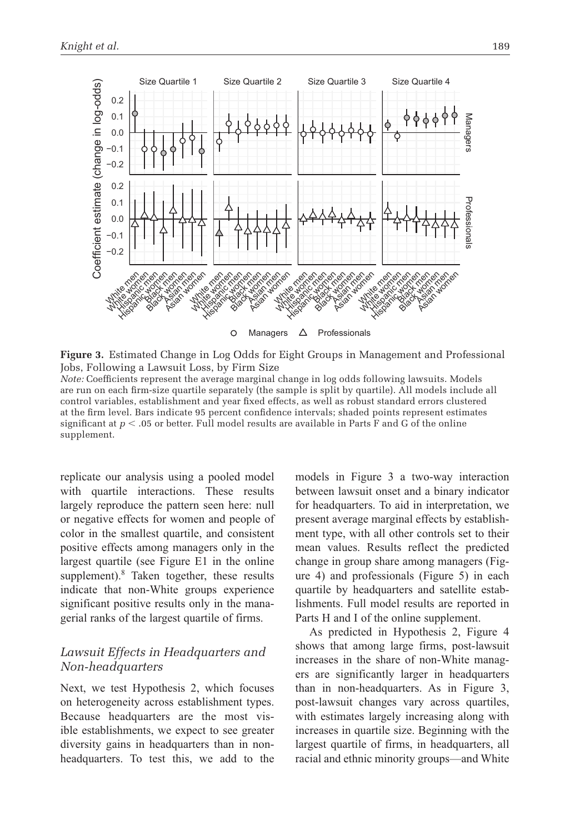

**Figure 3.** Estimated Change in Log Odds for Eight Groups in Management and Professional Jobs, Following a Lawsuit Loss, by Firm Size *Note:* Coefficients represent the average marginal change in log odds following lawsuits. Models are run on each firm-size quartile separately (the sample is split by quartile). All models include all control variables, establishment and year fixed effects, as well as robust standard errors clustered at the firm level. Bars indicate 95 percent confidence intervals; shaded points represent estimates significant at  $p < 0.05$  or better. Full model results are available in Parts F and G of the online supplement.

replicate our analysis using a pooled model with quartile interactions. These results largely reproduce the pattern seen here: null or negative effects for women and people of color in the smallest quartile, and consistent positive effects among managers only in the largest quartile (see Figure E1 in the online supplement).<sup>8</sup> Taken together, these results indicate that non-White groups experience significant positive results only in the managerial ranks of the largest quartile of firms.

# *Lawsuit Effects in Headquarters and Non-headquarters*

Next, we test Hypothesis 2, which focuses on heterogeneity across establishment types. Because headquarters are the most visible establishments, we expect to see greater diversity gains in headquarters than in nonheadquarters. To test this, we add to the models in Figure 3 a two-way interaction between lawsuit onset and a binary indicator for headquarters. To aid in interpretation, we present average marginal effects by establishment type, with all other controls set to their mean values. Results reflect the predicted change in group share among managers (Figure 4) and professionals (Figure 5) in each quartile by headquarters and satellite establishments. Full model results are reported in Parts H and I of the online supplement.

As predicted in Hypothesis 2, Figure 4 shows that among large firms, post-lawsuit increases in the share of non-White managers are significantly larger in headquarters than in non-headquarters. As in Figure 3, post-lawsuit changes vary across quartiles, with estimates largely increasing along with increases in quartile size. Beginning with the largest quartile of firms, in headquarters, all racial and ethnic minority groups—and White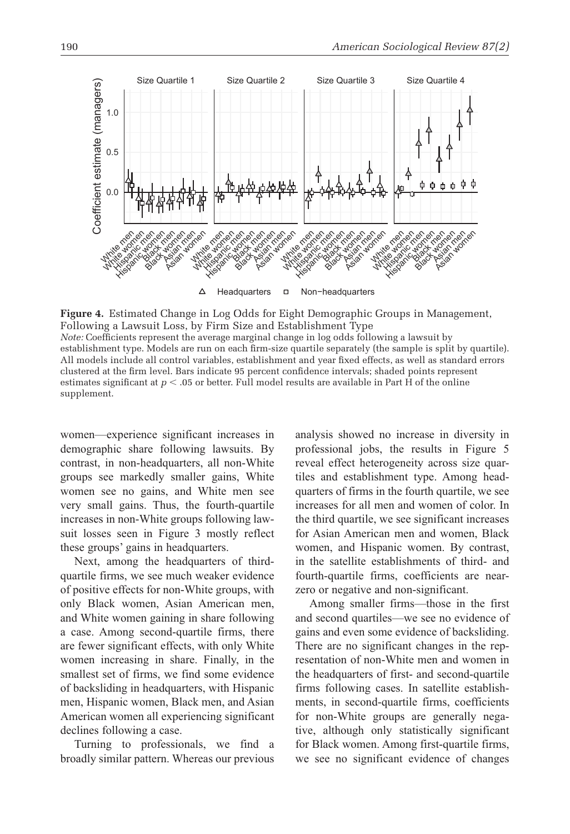

**Figure 4.** Estimated Change in Log Odds for Eight Demographic Groups in Management, Following a Lawsuit Loss, by Firm Size and Establishment Type *Note:* Coefficients represent the average marginal change in log odds following a lawsuit by establishment type. Models are run on each firm-size quartile separately (the sample is split by quartile).

All models include all control variables, establishment and year fixed effects, as well as standard errors clustered at the firm level. Bars indicate 95 percent confidence intervals; shaded points represent estimates significant at *p* < .05 or better. Full model results are available in Part H of the online supplement.

women—experience significant increases in demographic share following lawsuits. By contrast, in non-headquarters, all non-White groups see markedly smaller gains, White women see no gains, and White men see very small gains. Thus, the fourth-quartile increases in non-White groups following lawsuit losses seen in Figure 3 mostly reflect these groups' gains in headquarters.

Next, among the headquarters of thirdquartile firms, we see much weaker evidence of positive effects for non-White groups, with only Black women, Asian American men, and White women gaining in share following a case. Among second-quartile firms, there are fewer significant effects, with only White women increasing in share. Finally, in the smallest set of firms, we find some evidence of backsliding in headquarters, with Hispanic men, Hispanic women, Black men, and Asian American women all experiencing significant declines following a case.

Turning to professionals, we find a broadly similar pattern. Whereas our previous analysis showed no increase in diversity in professional jobs, the results in Figure 5 reveal effect heterogeneity across size quartiles and establishment type. Among headquarters of firms in the fourth quartile, we see increases for all men and women of color. In the third quartile, we see significant increases for Asian American men and women, Black women, and Hispanic women. By contrast, in the satellite establishments of third- and fourth-quartile firms, coefficients are nearzero or negative and non-significant.

Among smaller firms—those in the first and second quartiles—we see no evidence of gains and even some evidence of backsliding. There are no significant changes in the representation of non-White men and women in the headquarters of first- and second-quartile firms following cases. In satellite establishments, in second-quartile firms, coefficients for non-White groups are generally negative, although only statistically significant for Black women. Among first-quartile firms, we see no significant evidence of changes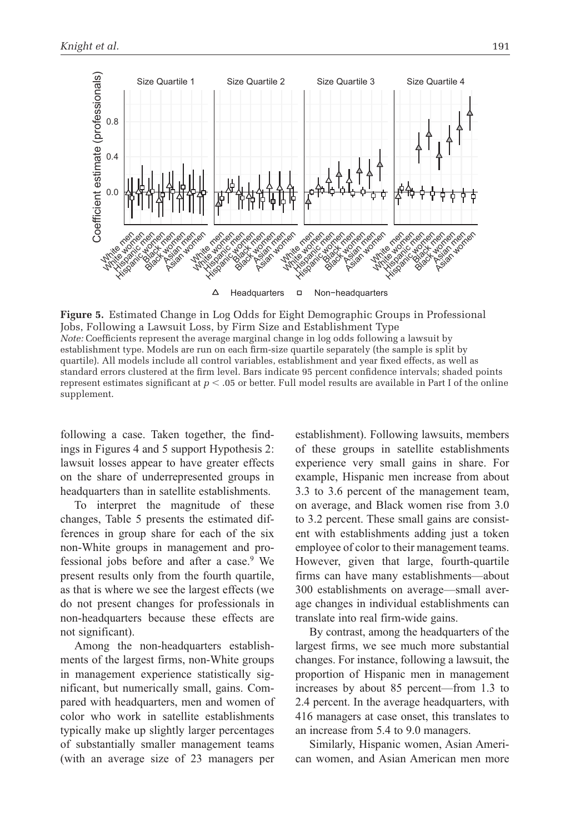

**Figure 5.** Estimated Change in Log Odds for Eight Demographic Groups in Professional Jobs, Following a Lawsuit Loss, by Firm Size and Establishment Type *Note:* Coefficients represent the average marginal change in log odds following a lawsuit by establishment type. Models are run on each firm-size quartile separately (the sample is split by quartile). All models include all control variables, establishment and year fixed effects, as well as standard errors clustered at the firm level. Bars indicate 95 percent confidence intervals; shaded points represent estimates significant at *p* < .05 or better. Full model results are available in Part I of the online supplement.

following a case. Taken together, the findings in Figures 4 and 5 support Hypothesis 2: lawsuit losses appear to have greater effects on the share of underrepresented groups in headquarters than in satellite establishments.

To interpret the magnitude of these changes, Table 5 presents the estimated differences in group share for each of the six non-White groups in management and professional jobs before and after a case.<sup>9</sup> We present results only from the fourth quartile, as that is where we see the largest effects (we do not present changes for professionals in non-headquarters because these effects are not significant).

Among the non-headquarters establishments of the largest firms, non-White groups in management experience statistically significant, but numerically small, gains. Compared with headquarters, men and women of color who work in satellite establishments typically make up slightly larger percentages of substantially smaller management teams (with an average size of 23 managers per

establishment). Following lawsuits, members of these groups in satellite establishments experience very small gains in share. For example, Hispanic men increase from about 3.3 to 3.6 percent of the management team, on average, and Black women rise from 3.0 to 3.2 percent. These small gains are consistent with establishments adding just a token employee of color to their management teams. However, given that large, fourth-quartile firms can have many establishments—about 300 establishments on average—small average changes in individual establishments can translate into real firm-wide gains.

By contrast, among the headquarters of the largest firms, we see much more substantial changes. For instance, following a lawsuit, the proportion of Hispanic men in management increases by about 85 percent—from 1.3 to 2.4 percent. In the average headquarters, with 416 managers at case onset, this translates to an increase from 5.4 to 9.0 managers.

Similarly, Hispanic women, Asian American women, and Asian American men more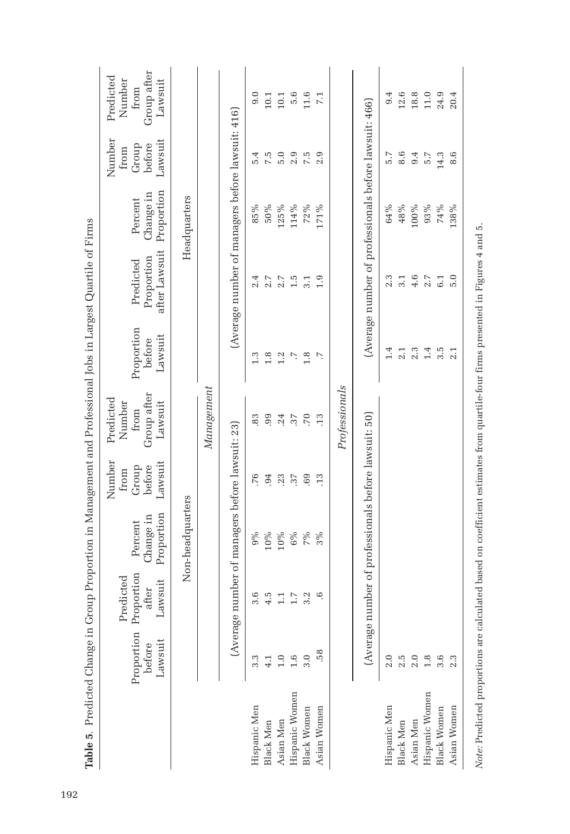|                                                                             | Group after<br>Predicted<br>Number<br>Lawsuit<br>from  |                  |            |                                                  | 0.0          | 10.1             | $10.1\,$                                        | 5.6            | 11.6               | 7.1                                       |               |                                                       | 9.4          | 12.6             | 18.8                                                 | $11.0$         | 24.9               | 20.4        |  |  |  |
|-----------------------------------------------------------------------------|--------------------------------------------------------|------------------|------------|--------------------------------------------------|--------------|------------------|-------------------------------------------------|----------------|--------------------|-------------------------------------------|---------------|-------------------------------------------------------|--------------|------------------|------------------------------------------------------|----------------|--------------------|-------------|--|--|--|
|                                                                             | Number<br>Lawsuit<br>before<br>Group<br>from           | Headquarters     |            |                                                  | 5.4          | 7.5              | 5.0                                             | 2.9            | 7.5                | 2.9                                       |               |                                                       | 5.7          | 8.6              | 9.4                                                  | 5.7            | 14.3               | 8.6         |  |  |  |
|                                                                             | Proportion<br>Change in<br>Percent                     |                  | Management |                                                  | 85%          | $50\%$           | 125%                                            | 114%           | 72%                | 171%                                      |               |                                                       | 64%          | 48%              | 100%                                                 | 93%            | 74%                | 138%        |  |  |  |
|                                                                             | after Lawsuit<br>Proportion<br>Predicted               |                  |            | (Average number of managers before lawsuit: 416) | 2.4          | 2.7              | 2.7                                             | 1.5            | 3.1                | 0.1                                       |               | (Average number of professionals before lawsuit: 466) | 2.3          | 3.1              | 4.6                                                  | 2.7            | 6.1                | 5.0         |  |  |  |
| Proportion in Management and Professional Jobs in Largest Quartile of Firms | Proportion<br>Lawsuit<br>before                        |                  |            |                                                  | 1.3          | 1.8              | 1.2                                             | Ŋ.             | 1.8                | r.                                        |               |                                                       | 1.4          | 2.1              | 2.3                                                  | 1.4            | $3.\overline{5}$   | 2.1         |  |  |  |
|                                                                             | Group after<br>Predicted<br>Number<br>Lawsuit<br>from  |                  |            |                                                  | 83           | 99               | .24                                             | .37            | .70                | .13                                       | Professionals |                                                       |              |                  |                                                      |                |                    |             |  |  |  |
|                                                                             | Number<br>Lawsuit<br>before<br>Group<br>from           |                  |            |                                                  | .76          | 94               | .23                                             | 37             | .69                | .13                                       |               |                                                       |              |                  |                                                      |                |                    |             |  |  |  |
|                                                                             | Proportion<br>Change in<br>Percent                     | Non-headquarters |            |                                                  |              |                  | (Average number of managers before lawsuit: 23) | $9\%$          | $10\%$             | $10\%$                                    | $6\%$         | 7%                                                    | 3%           |                  | (Average number of professionals before lawsuit: 50) |                |                    |             |  |  |  |
|                                                                             | Proportion Proportion<br>Predicted<br>Lawsuit<br>after |                  |            |                                                  |              |                  |                                                 |                |                    | 3.6<br>4.5<br>1.1<br>$1.7\,$<br>3.2<br>9. |               |                                                       |              |                  |                                                      |                |                    |             |  |  |  |
|                                                                             | Lawsuit<br>before                                      |                  |            |                                                  | 3.3          | $\frac{1}{4}$    | $\frac{0}{1}$                                   | 1.6            | 3.0                | $\frac{8}{2}$                             |               |                                                       | 2.0          | 2.5              | $\overline{2.0}$                                     |                | 3.6                | 2.3         |  |  |  |
| Table 5. Predicted Change in Group                                          |                                                        |                  |            |                                                  | Hispanic Men | <b>Black Men</b> | Asian Men                                       | Hispanic Women | <b>Black Women</b> | Asian Women                               |               |                                                       | Hispanic Men | <b>Black Men</b> | Asian Men                                            | Hispanic Women | <b>Black Women</b> | Asian Women |  |  |  |

Note: Predicted proportions are calculated based on coefficient estimates from quartile-four firms presented in Figures 4 and 5. *Note:* Predicted proportions are calculated based on coefficient estimates from quartile-four firms presented in Figures 4 and 5.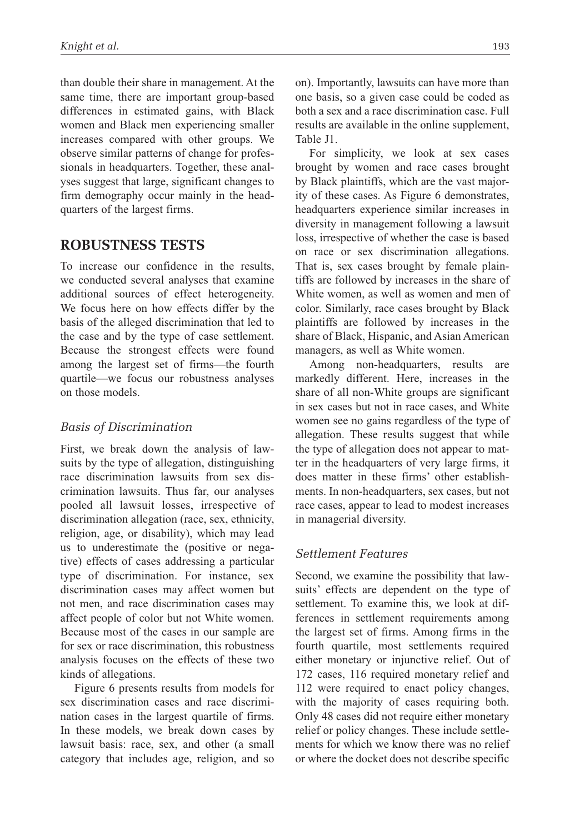than double their share in management. At the same time, there are important group-based differences in estimated gains, with Black women and Black men experiencing smaller increases compared with other groups. We observe similar patterns of change for professionals in headquarters. Together, these analyses suggest that large, significant changes to firm demography occur mainly in the headquarters of the largest firms.

# **Robustness Tests**

To increase our confidence in the results, we conducted several analyses that examine additional sources of effect heterogeneity. We focus here on how effects differ by the basis of the alleged discrimination that led to the case and by the type of case settlement. Because the strongest effects were found among the largest set of firms—the fourth quartile—we focus our robustness analyses on those models.

## *Basis of Discrimination*

First, we break down the analysis of lawsuits by the type of allegation, distinguishing race discrimination lawsuits from sex discrimination lawsuits. Thus far, our analyses pooled all lawsuit losses, irrespective of discrimination allegation (race, sex, ethnicity, religion, age, or disability), which may lead us to underestimate the (positive or negative) effects of cases addressing a particular type of discrimination. For instance, sex discrimination cases may affect women but not men, and race discrimination cases may affect people of color but not White women. Because most of the cases in our sample are for sex or race discrimination, this robustness analysis focuses on the effects of these two kinds of allegations.

Figure 6 presents results from models for sex discrimination cases and race discrimination cases in the largest quartile of firms. In these models, we break down cases by lawsuit basis: race, sex, and other (a small category that includes age, religion, and so on). Importantly, lawsuits can have more than one basis, so a given case could be coded as both a sex and a race discrimination case. Full results are available in the online supplement, Table J1.

For simplicity, we look at sex cases brought by women and race cases brought by Black plaintiffs, which are the vast majority of these cases. As Figure 6 demonstrates, headquarters experience similar increases in diversity in management following a lawsuit loss, irrespective of whether the case is based on race or sex discrimination allegations. That is, sex cases brought by female plaintiffs are followed by increases in the share of White women, as well as women and men of color. Similarly, race cases brought by Black plaintiffs are followed by increases in the share of Black, Hispanic, and Asian American managers, as well as White women.

Among non-headquarters, results are markedly different. Here, increases in the share of all non-White groups are significant in sex cases but not in race cases, and White women see no gains regardless of the type of allegation. These results suggest that while the type of allegation does not appear to matter in the headquarters of very large firms, it does matter in these firms' other establishments. In non-headquarters, sex cases, but not race cases, appear to lead to modest increases in managerial diversity.

### *Settlement Features*

Second, we examine the possibility that lawsuits' effects are dependent on the type of settlement. To examine this, we look at differences in settlement requirements among the largest set of firms. Among firms in the fourth quartile, most settlements required either monetary or injunctive relief. Out of 172 cases, 116 required monetary relief and 112 were required to enact policy changes, with the majority of cases requiring both. Only 48 cases did not require either monetary relief or policy changes. These include settlements for which we know there was no relief or where the docket does not describe specific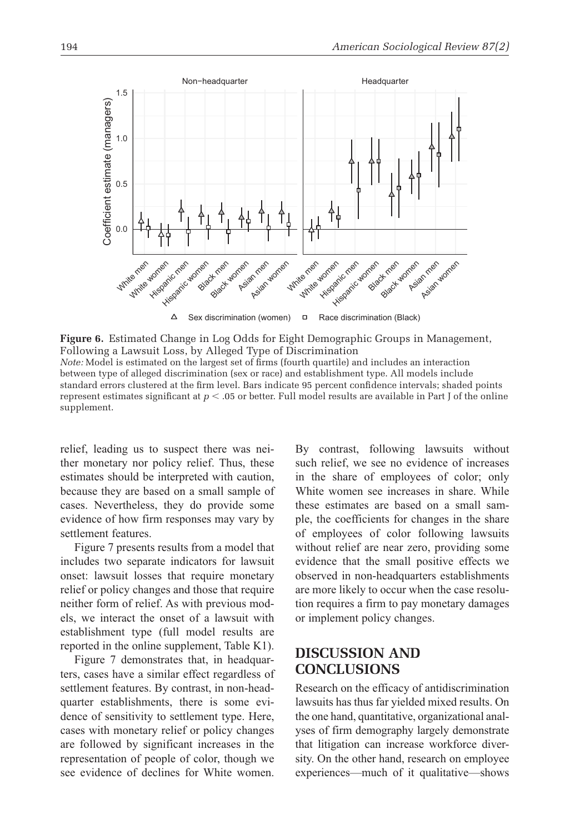

**Figure 6.** Estimated Change in Log Odds for Eight Demographic Groups in Management, Following a Lawsuit Loss, by Alleged Type of Discrimination *Note:* Model is estimated on the largest set of firms (fourth quartile) and includes an interaction between type of alleged discrimination (sex or race) and establishment type. All models include standard errors clustered at the firm level. Bars indicate 95 percent confidence intervals; shaded points represent estimates significant at *p* < .05 or better. Full model results are available in Part J of the online supplement.

relief, leading us to suspect there was neither monetary nor policy relief. Thus, these estimates should be interpreted with caution, because they are based on a small sample of cases. Nevertheless, they do provide some evidence of how firm responses may vary by settlement features.

Figure 7 presents results from a model that includes two separate indicators for lawsuit onset: lawsuit losses that require monetary relief or policy changes and those that require neither form of relief. As with previous models, we interact the onset of a lawsuit with establishment type (full model results are reported in the online supplement, Table K1).

Figure 7 demonstrates that, in headquarters, cases have a similar effect regardless of settlement features. By contrast, in non-headquarter establishments, there is some evidence of sensitivity to settlement type. Here, cases with monetary relief or policy changes are followed by significant increases in the representation of people of color, though we see evidence of declines for White women.

By contrast, following lawsuits without such relief, we see no evidence of increases in the share of employees of color; only White women see increases in share. While these estimates are based on a small sample, the coefficients for changes in the share of employees of color following lawsuits without relief are near zero, providing some evidence that the small positive effects we observed in non-headquarters establishments are more likely to occur when the case resolution requires a firm to pay monetary damages or implement policy changes.

# **Discussion and Conclusions**

Research on the efficacy of antidiscrimination lawsuits has thus far yielded mixed results. On the one hand, quantitative, organizational analyses of firm demography largely demonstrate that litigation can increase workforce diversity. On the other hand, research on employee experiences—much of it qualitative—shows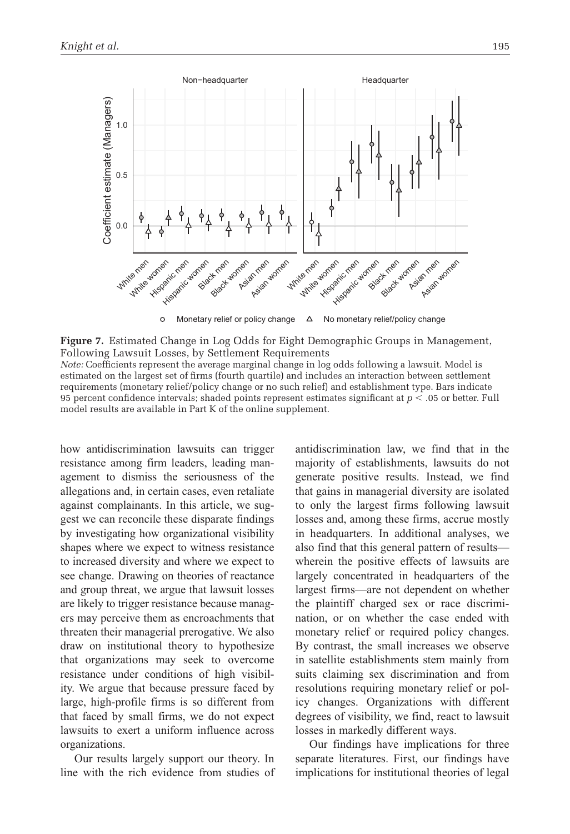

**Figure 7.** Estimated Change in Log Odds for Eight Demographic Groups in Management, Following Lawsuit Losses, by Settlement Requirements *Note:* Coefficients represent the average marginal change in log odds following a lawsuit. Model is estimated on the largest set of firms (fourth quartile) and includes an interaction between settlement requirements (monetary relief/policy change or no such relief) and establishment type. Bars indicate 95 percent confidence intervals; shaded points represent estimates significant at *p* < .05 or better. Full model results are available in Part K of the online supplement.

how antidiscrimination lawsuits can trigger resistance among firm leaders, leading management to dismiss the seriousness of the allegations and, in certain cases, even retaliate against complainants. In this article, we suggest we can reconcile these disparate findings by investigating how organizational visibility shapes where we expect to witness resistance to increased diversity and where we expect to see change. Drawing on theories of reactance and group threat, we argue that lawsuit losses are likely to trigger resistance because managers may perceive them as encroachments that threaten their managerial prerogative. We also draw on institutional theory to hypothesize that organizations may seek to overcome resistance under conditions of high visibility. We argue that because pressure faced by large, high-profile firms is so different from that faced by small firms, we do not expect lawsuits to exert a uniform influence across organizations.

Our results largely support our theory. In line with the rich evidence from studies of antidiscrimination law, we find that in the majority of establishments, lawsuits do not generate positive results. Instead, we find that gains in managerial diversity are isolated to only the largest firms following lawsuit losses and, among these firms, accrue mostly in headquarters. In additional analyses, we also find that this general pattern of results wherein the positive effects of lawsuits are largely concentrated in headquarters of the largest firms—are not dependent on whether the plaintiff charged sex or race discrimination, or on whether the case ended with monetary relief or required policy changes. By contrast, the small increases we observe in satellite establishments stem mainly from suits claiming sex discrimination and from resolutions requiring monetary relief or policy changes. Organizations with different degrees of visibility, we find, react to lawsuit losses in markedly different ways.

Our findings have implications for three separate literatures. First, our findings have implications for institutional theories of legal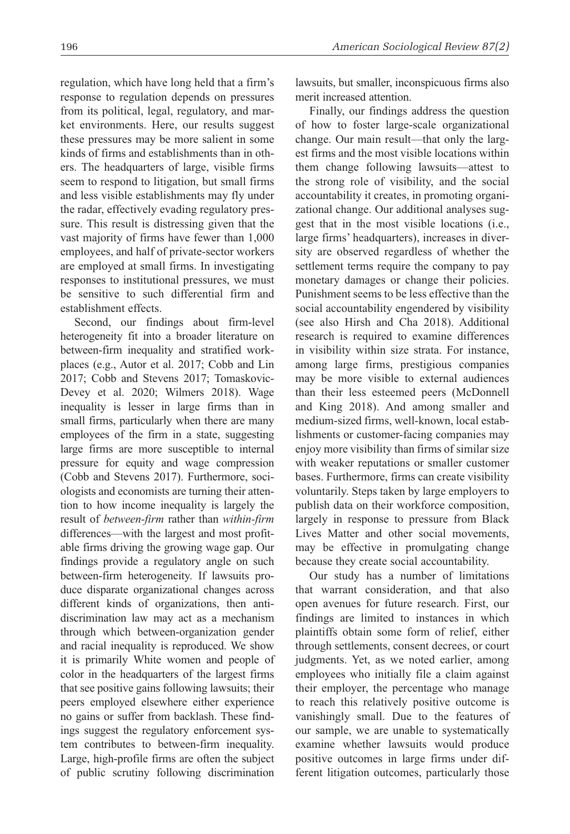regulation, which have long held that a firm's response to regulation depends on pressures from its political, legal, regulatory, and market environments. Here, our results suggest these pressures may be more salient in some kinds of firms and establishments than in others. The headquarters of large, visible firms seem to respond to litigation, but small firms and less visible establishments may fly under the radar, effectively evading regulatory pressure. This result is distressing given that the vast majority of firms have fewer than 1,000 employees, and half of private-sector workers are employed at small firms. In investigating responses to institutional pressures, we must be sensitive to such differential firm and establishment effects.

Second, our findings about firm-level heterogeneity fit into a broader literature on between-firm inequality and stratified workplaces (e.g., Autor et al. 2017; Cobb and Lin 2017; Cobb and Stevens 2017; Tomaskovic-Devey et al. 2020; Wilmers 2018). Wage inequality is lesser in large firms than in small firms, particularly when there are many employees of the firm in a state, suggesting large firms are more susceptible to internal pressure for equity and wage compression (Cobb and Stevens 2017). Furthermore, sociologists and economists are turning their attention to how income inequality is largely the result of *between-firm* rather than *within-firm* differences—with the largest and most profitable firms driving the growing wage gap. Our findings provide a regulatory angle on such between-firm heterogeneity. If lawsuits produce disparate organizational changes across different kinds of organizations, then antidiscrimination law may act as a mechanism through which between-organization gender and racial inequality is reproduced. We show it is primarily White women and people of color in the headquarters of the largest firms that see positive gains following lawsuits; their peers employed elsewhere either experience no gains or suffer from backlash. These findings suggest the regulatory enforcement system contributes to between-firm inequality. Large, high-profile firms are often the subject of public scrutiny following discrimination

lawsuits, but smaller, inconspicuous firms also merit increased attention.

Finally, our findings address the question of how to foster large-scale organizational change. Our main result—that only the largest firms and the most visible locations within them change following lawsuits—attest to the strong role of visibility, and the social accountability it creates, in promoting organizational change. Our additional analyses suggest that in the most visible locations (i.e., large firms' headquarters), increases in diversity are observed regardless of whether the settlement terms require the company to pay monetary damages or change their policies. Punishment seems to be less effective than the social accountability engendered by visibility (see also Hirsh and Cha 2018). Additional research is required to examine differences in visibility within size strata. For instance, among large firms, prestigious companies may be more visible to external audiences than their less esteemed peers (McDonnell and King 2018). And among smaller and medium-sized firms, well-known, local establishments or customer-facing companies may enjoy more visibility than firms of similar size with weaker reputations or smaller customer bases. Furthermore, firms can create visibility voluntarily. Steps taken by large employers to publish data on their workforce composition, largely in response to pressure from Black Lives Matter and other social movements, may be effective in promulgating change because they create social accountability.

Our study has a number of limitations that warrant consideration, and that also open avenues for future research. First, our findings are limited to instances in which plaintiffs obtain some form of relief, either through settlements, consent decrees, or court judgments. Yet, as we noted earlier, among employees who initially file a claim against their employer, the percentage who manage to reach this relatively positive outcome is vanishingly small. Due to the features of our sample, we are unable to systematically examine whether lawsuits would produce positive outcomes in large firms under different litigation outcomes, particularly those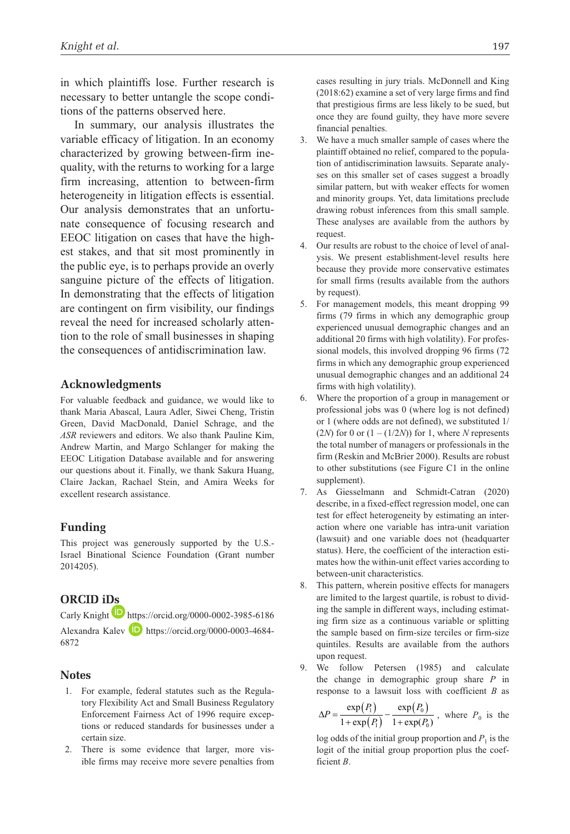in which plaintiffs lose. Further research is necessary to better untangle the scope conditions of the patterns observed here.

In summary, our analysis illustrates the variable efficacy of litigation. In an economy characterized by growing between-firm inequality, with the returns to working for a large firm increasing, attention to between-firm heterogeneity in litigation effects is essential. Our analysis demonstrates that an unfortunate consequence of focusing research and EEOC litigation on cases that have the highest stakes, and that sit most prominently in the public eye, is to perhaps provide an overly sanguine picture of the effects of litigation. In demonstrating that the effects of litigation are contingent on firm visibility, our findings reveal the need for increased scholarly attention to the role of small businesses in shaping the consequences of antidiscrimination law.

### **Acknowledgments**

For valuable feedback and guidance, we would like to thank Maria Abascal, Laura Adler, Siwei Cheng, Tristin Green, David MacDonald, Daniel Schrage, and the *ASR* reviewers and editors. We also thank Pauline Kim, Andrew Martin, and Margo Schlanger for making the EEOC Litigation Database available and for answering our questions about it. Finally, we thank Sakura Huang, Claire Jackan, Rachael Stein, and Amira Weeks for excellent research assistance.

### **Funding**

This project was generously supported by the U.S.- Israel Binational Science Foundation (Grant number 2014205).

### **ORCID iDs**

Carly Knight  $\Box$  https://orcid.org/0000-0002-3985-6186 Alexandra Kalev **D** https://orcid.org/0000-0003-4684-6872

#### **Notes**

- 1. For example, federal statutes such as the Regulatory Flexibility Act and Small Business Regulatory Enforcement Fairness Act of 1996 require exceptions or reduced standards for businesses under a certain size.
- 2. There is some evidence that larger, more visible firms may receive more severe penalties from

cases resulting in jury trials. McDonnell and King (2018:62) examine a set of very large firms and find that prestigious firms are less likely to be sued, but once they are found guilty, they have more severe financial penalties.

- 3. We have a much smaller sample of cases where the plaintiff obtained no relief, compared to the population of antidiscrimination lawsuits. Separate analyses on this smaller set of cases suggest a broadly similar pattern, but with weaker effects for women and minority groups. Yet, data limitations preclude drawing robust inferences from this small sample. These analyses are available from the authors by request.
- 4. Our results are robust to the choice of level of analysis. We present establishment-level results here because they provide more conservative estimates for small firms (results available from the authors by request).
- 5. For management models, this meant dropping 99 firms (79 firms in which any demographic group experienced unusual demographic changes and an additional 20 firms with high volatility). For professional models, this involved dropping 96 firms (72 firms in which any demographic group experienced unusual demographic changes and an additional 24 firms with high volatility).
- 6. Where the proportion of a group in management or professional jobs was 0 (where log is not defined) or 1 (where odds are not defined), we substituted 1/ (2*N*) for 0 or  $(1 - (1/2*N*))$  for 1, where *N* represents the total number of managers or professionals in the firm (Reskin and McBrier 2000). Results are robust to other substitutions (see Figure C1 in the online supplement).
- 7. As Giesselmann and Schmidt-Catran (2020) describe, in a fixed-effect regression model, one can test for effect heterogeneity by estimating an interaction where one variable has intra-unit variation (lawsuit) and one variable does not (headquarter status). Here, the coefficient of the interaction estimates how the within-unit effect varies according to between-unit characteristics.
- 8. This pattern, wherein positive effects for managers are limited to the largest quartile, is robust to dividing the sample in different ways, including estimating firm size as a continuous variable or splitting the sample based on firm-size terciles or firm-size quintiles. Results are available from the authors upon request.
- 9. We follow Petersen (1985) and calculate the change in demographic group share *P* in response to a lawsuit loss with coefficient *B* as

*P*

$$
\Delta P = \frac{\exp(P_1)}{1 + \exp(P_1)} - \frac{\exp(P_0)}{1 + \exp(P_0)},
$$
 where  $P_0$  is the

log odds of the initial group proportion and  $P_1$  is the logit of the initial group proportion plus the coefficient *B*.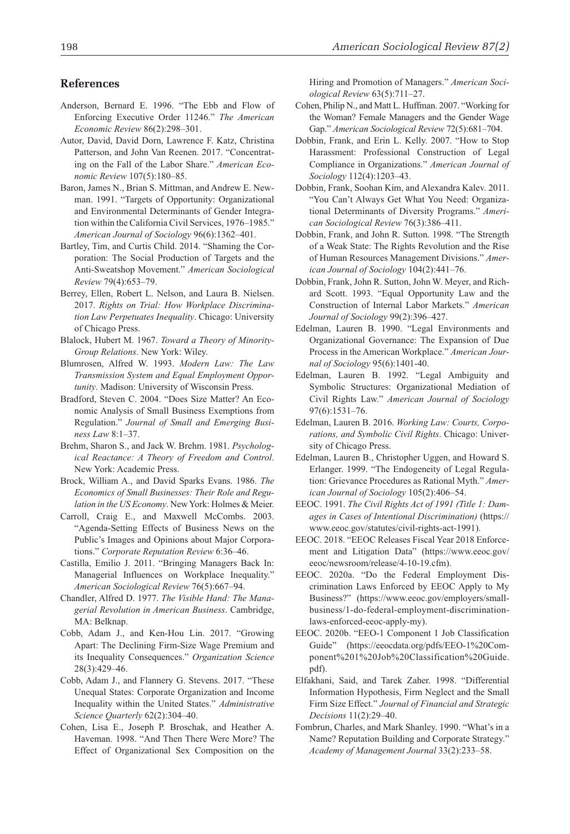### **References**

- Anderson, Bernard E. 1996. "The Ebb and Flow of Enforcing Executive Order 11246." *The American Economic Review* 86(2):298–301.
- Autor, David, David Dorn, Lawrence F. Katz, Christina Patterson, and John Van Reenen. 2017. "Concentrating on the Fall of the Labor Share." *American Economic Review* 107(5):180–85.
- Baron, James N., Brian S. Mittman, and Andrew E. Newman. 1991. "Targets of Opportunity: Organizational and Environmental Determinants of Gender Integration within the California Civil Services, 1976–1985." *American Journal of Sociology* 96(6):1362–401.
- Bartley, Tim, and Curtis Child. 2014. "Shaming the Corporation: The Social Production of Targets and the Anti-Sweatshop Movement." *American Sociological Review* 79(4):653–79.
- Berrey, Ellen, Robert L. Nelson, and Laura B. Nielsen. 2017. *Rights on Trial: How Workplace Discrimination Law Perpetuates Inequality*. Chicago: University of Chicago Press.
- Blalock, Hubert M. 1967. *Toward a Theory of Minority-Group Relations*. New York: Wiley.
- Blumrosen, Alfred W. 1993. *Modern Law: The Law Transmission System and Equal Employment Opportunity*. Madison: University of Wisconsin Press.
- Bradford, Steven C. 2004. "Does Size Matter? An Economic Analysis of Small Business Exemptions from Regulation." *Journal of Small and Emerging Business Law* 8:1–37.
- Brehm, Sharon S., and Jack W. Brehm. 1981. *Psychological Reactance: A Theory of Freedom and Control*. New York: Academic Press.
- Brock, William A., and David Sparks Evans. 1986. *The Economics of Small Businesses: Their Role and Regulation in the US Economy*. New York: Holmes & Meier.
- Carroll, Craig E., and Maxwell McCombs. 2003. "Agenda-Setting Effects of Business News on the Public's Images and Opinions about Major Corporations." *Corporate Reputation Review* 6:36–46.
- Castilla, Emilio J. 2011. "Bringing Managers Back In: Managerial Influences on Workplace Inequality." *American Sociological Review* 76(5):667–94.
- Chandler, Alfred D. 1977. *The Visible Hand: The Managerial Revolution in American Business*. Cambridge, MA: Belknap.
- Cobb, Adam J., and Ken-Hou Lin. 2017. "Growing Apart: The Declining Firm-Size Wage Premium and its Inequality Consequences." *Organization Science* 28(3):429–46.
- Cobb, Adam J., and Flannery G. Stevens. 2017. "These Unequal States: Corporate Organization and Income Inequality within the United States." *Administrative Science Quarterly* 62(2):304–40.
- Cohen, Lisa E., Joseph P. Broschak, and Heather A. Haveman. 1998. "And Then There Were More? The Effect of Organizational Sex Composition on the

Hiring and Promotion of Managers." *American Sociological Review* 63(5):711–27.

- Cohen, Philip N., and Matt L. Huffman. 2007. "Working for the Woman? Female Managers and the Gender Wage Gap." *American Sociological Review* 72(5):681–704.
- Dobbin, Frank, and Erin L. Kelly. 2007. "How to Stop Harassment: Professional Construction of Legal Compliance in Organizations." *American Journal of Sociology* 112(4):1203–43.
- Dobbin, Frank, Soohan Kim, and Alexandra Kalev. 2011. "You Can't Always Get What You Need: Organizational Determinants of Diversity Programs." *American Sociological Review* 76(3):386–411.
- Dobbin, Frank, and John R. Sutton. 1998. "The Strength of a Weak State: The Rights Revolution and the Rise of Human Resources Management Divisions." *American Journal of Sociology* 104(2):441–76.
- Dobbin, Frank, John R. Sutton, John W. Meyer, and Richard Scott. 1993. "Equal Opportunity Law and the Construction of Internal Labor Markets." *American Journal of Sociology* 99(2):396–427.
- Edelman, Lauren B. 1990. "Legal Environments and Organizational Governance: The Expansion of Due Process in the American Workplace." *American Journal of Sociology* 95(6):1401-40.
- Edelman, Lauren B. 1992. "Legal Ambiguity and Symbolic Structures: Organizational Mediation of Civil Rights Law." *American Journal of Sociology* 97(6):1531–76.
- Edelman, Lauren B. 2016. *Working Law: Courts, Corporations, and Symbolic Civil Rights*. Chicago: University of Chicago Press.
- Edelman, Lauren B., Christopher Uggen, and Howard S. Erlanger. 1999. "The Endogeneity of Legal Regulation: Grievance Procedures as Rational Myth." *American Journal of Sociology* 105(2):406–54.
- EEOC. 1991. *The Civil Rights Act of 1991 (Title 1: Damages in Cases of Intentional Discrimination)* (https:// www.eeoc.gov/statutes/civil-rights-act-1991).
- EEOC. 2018. "EEOC Releases Fiscal Year 2018 Enforcement and Litigation Data" (https://www.eeoc.gov/ eeoc/newsroom/release/4-10-19.cfm).
- EEOC. 2020a. "Do the Federal Employment Discrimination Laws Enforced by EEOC Apply to My Business?" (https://www.eeoc.gov/employers/smallbusiness/1-do-federal-employment-discriminationlaws-enforced-eeoc-apply-my).
- EEOC. 2020b. "EEO-1 Component 1 Job Classification Guide" [\(https://eeocdata.org/pdfs/EEO-1%20Com](https://eeocdata.org/pdfs/EEO-1%20Component%201%20Job%20Classification%20Guide.pdf)[ponent%201%20Job%20Classification%20Guide.](https://eeocdata.org/pdfs/EEO-1%20Component%201%20Job%20Classification%20Guide.pdf) [pdf\)](https://eeocdata.org/pdfs/EEO-1%20Component%201%20Job%20Classification%20Guide.pdf).
- Elfakhani, Said, and Tarek Zaher. 1998. "Differential Information Hypothesis, Firm Neglect and the Small Firm Size Effect." *Journal of Financial and Strategic Decisions* 11(2):29–40.
- Fombrun, Charles, and Mark Shanley. 1990. "What's in a Name? Reputation Building and Corporate Strategy." *Academy of Management Journal* 33(2):233–58.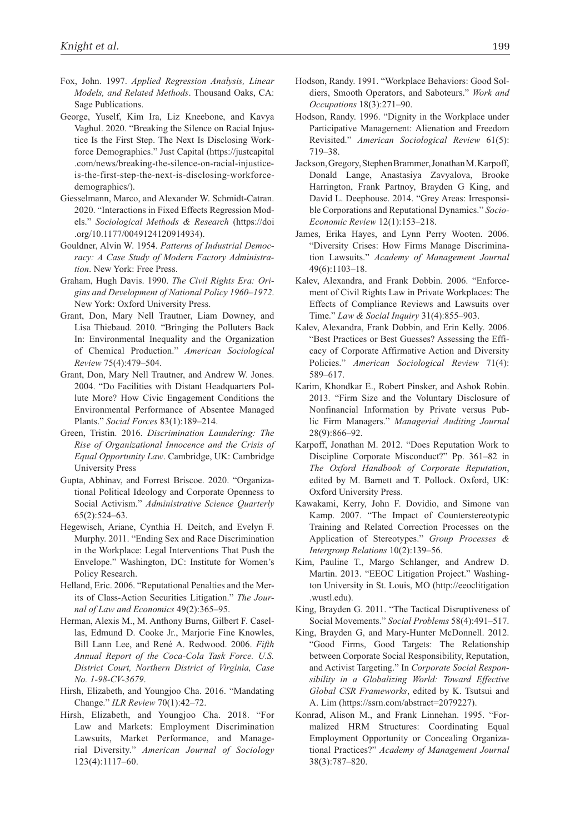- Fox, John. 1997. *Applied Regression Analysis, Linear Models, and Related Methods*. Thousand Oaks, CA: Sage Publications.
- George, Yuself, Kim Ira, Liz Kneebone, and Kavya Vaghul. 2020. "Breaking the Silence on Racial Injustice Is the First Step. The Next Is Disclosing Workforce Demographics." Just Capital (https://justcapital .com/news/breaking-the-silence-on-racial-injusticeis-the-first-step-the-next-is-disclosing-workforcedemographics/).
- Giesselmann, Marco, and Alexander W. Schmidt-Catran. 2020. "Interactions in Fixed Effects Regression Models." *Sociological Methods & Research* (https://doi .org/10.1177/0049124120914934).
- Gouldner, Alvin W. 1954. *Patterns of Industrial Democracy: A Case Study of Modern Factory Administration*. New York: Free Press.
- Graham, Hugh Davis. 1990. *The Civil Rights Era: Origins and Development of National Policy 1960–1972*. New York: Oxford University Press.
- Grant, Don, Mary Nell Trautner, Liam Downey, and Lisa Thiebaud. 2010. "Bringing the Polluters Back In: Environmental Inequality and the Organization of Chemical Production." *American Sociological Review* 75(4):479–504.
- Grant, Don, Mary Nell Trautner, and Andrew W. Jones. 2004. "Do Facilities with Distant Headquarters Pollute More? How Civic Engagement Conditions the Environmental Performance of Absentee Managed Plants." *Social Forces* 83(1):189–214.
- Green, Tristin. 2016. *Discrimination Laundering: The Rise of Organizational Innocence and the Crisis of Equal Opportunity Law*. Cambridge, UK: Cambridge University Press
- Gupta, Abhinav, and Forrest Briscoe. 2020. "Organizational Political Ideology and Corporate Openness to Social Activism." *Administrative Science Quarterly* 65(2):524–63.
- Hegewisch, Ariane, Cynthia H. Deitch, and Evelyn F. Murphy. 2011. "Ending Sex and Race Discrimination in the Workplace: Legal Interventions That Push the Envelope." Washington, DC: Institute for Women's Policy Research.
- Helland, Eric. 2006. "Reputational Penalties and the Merits of Class-Action Securities Litigation." *The Journal of Law and Economics* 49(2):365–95.
- Herman, Alexis M., M. Anthony Burns, Gilbert F. Casellas, Edmund D. Cooke Jr., Marjorie Fine Knowles, Bill Lann Lee, and René A. Redwood. 2006. *Fifth Annual Report of the Coca-Cola Task Force. U.S. District Court, Northern District of Virginia, Case No. 1-98-CV-3679*.
- Hirsh, Elizabeth, and Youngjoo Cha. 2016. "Mandating Change." *ILR Review* 70(1):42–72.
- Hirsh, Elizabeth, and Youngjoo Cha. 2018. "For Law and Markets: Employment Discrimination Lawsuits, Market Performance, and Managerial Diversity." *American Journal of Sociology* 123(4):1117–60.
- Hodson, Randy. 1991. "Workplace Behaviors: Good Soldiers, Smooth Operators, and Saboteurs." *Work and Occupations* 18(3):271–90.
- Hodson, Randy. 1996. "Dignity in the Workplace under Participative Management: Alienation and Freedom Revisited." *American Sociological Review* 61(5): 719–38.
- Jackson, Gregory, Stephen Brammer, Jonathan M. Karpoff, Donald Lange, Anastasiya Zavyalova, Brooke Harrington, Frank Partnoy, Brayden G King, and David L. Deephouse. 2014. "Grey Areas: Irresponsible Corporations and Reputational Dynamics." *Socio-Economic Review* 12(1):153–218.
- James, Erika Hayes, and Lynn Perry Wooten. 2006. "Diversity Crises: How Firms Manage Discrimination Lawsuits." *Academy of Management Journal* 49(6):1103–18.
- Kalev, Alexandra, and Frank Dobbin. 2006. "Enforcement of Civil Rights Law in Private Workplaces: The Effects of Compliance Reviews and Lawsuits over Time." *Law & Social Inquiry* 31(4):855–903.
- Kalev, Alexandra, Frank Dobbin, and Erin Kelly. 2006. "Best Practices or Best Guesses? Assessing the Efficacy of Corporate Affirmative Action and Diversity Policies." *American Sociological Review* 71(4): 589–617.
- Karim, Khondkar E., Robert Pinsker, and Ashok Robin. 2013. "Firm Size and the Voluntary Disclosure of Nonfinancial Information by Private versus Public Firm Managers." *Managerial Auditing Journal* 28(9):866–92.
- Karpoff, Jonathan M. 2012. "Does Reputation Work to Discipline Corporate Misconduct?" Pp. 361–82 in *The Oxford Handbook of Corporate Reputation*, edited by M. Barnett and T. Pollock. Oxford, UK: Oxford University Press.
- Kawakami, Kerry, John F. Dovidio, and Simone van Kamp. 2007. "The Impact of Counterstereotypic Training and Related Correction Processes on the Application of Stereotypes." *Group Processes & Intergroup Relations* 10(2):139–56.
- Kim, Pauline T., Margo Schlanger, and Andrew D. Martin. 2013. "EEOC Litigation Project." Washington University in St. Louis, MO (http://eeoclitigation .wustl.edu).
- King, Brayden G. 2011. "The Tactical Disruptiveness of Social Movements." *Social Problems* 58(4):491–517.
- King, Brayden G, and Mary-Hunter McDonnell. 2012. "Good Firms, Good Targets: The Relationship between Corporate Social Responsibility, Reputation, and Activist Targeting." In *Corporate Social Responsibility in a Globalizing World: Toward Effective Global CSR Frameworks*, edited by K. Tsutsui and A. Lim (https://ssrn.com/abstract=2079227).
- Konrad, Alison M., and Frank Linnehan. 1995. "Formalized HRM Structures: Coordinating Equal Employment Opportunity or Concealing Organizational Practices?" *Academy of Management Journal* 38(3):787–820.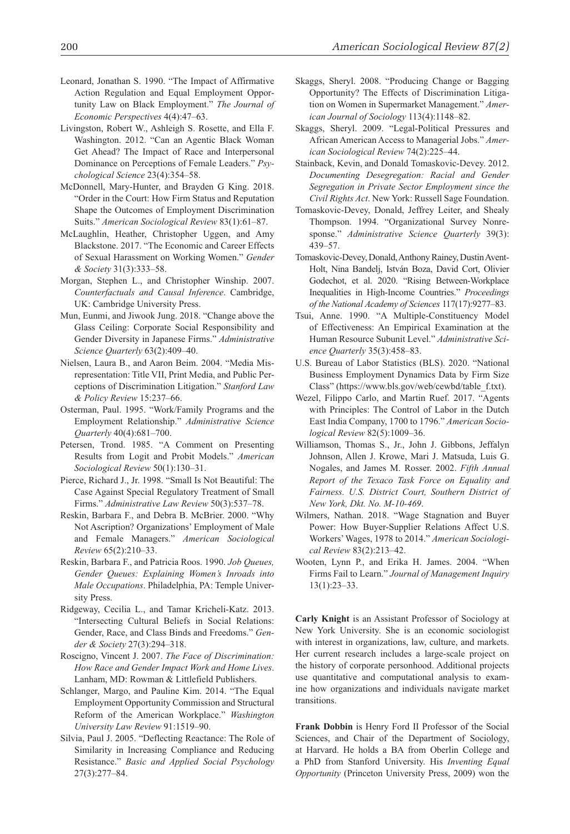- Leonard, Jonathan S. 1990. "The Impact of Affirmative Action Regulation and Equal Employment Opportunity Law on Black Employment." *The Journal of Economic Perspectives* 4(4):47–63.
- Livingston, Robert W., Ashleigh S. Rosette, and Ella F. Washington. 2012. "Can an Agentic Black Woman Get Ahead? The Impact of Race and Interpersonal Dominance on Perceptions of Female Leaders." *Psychological Science* 23(4):354–58.
- McDonnell, Mary-Hunter, and Brayden G King. 2018. "Order in the Court: How Firm Status and Reputation Shape the Outcomes of Employment Discrimination Suits." *American Sociological Review* 83(1):61–87.
- McLaughlin, Heather, Christopher Uggen, and Amy Blackstone. 2017. "The Economic and Career Effects of Sexual Harassment on Working Women." *Gender & Society* 31(3):333–58.
- Morgan, Stephen L., and Christopher Winship. 2007. *Counterfactuals and Causal Inference*. Cambridge, UK: Cambridge University Press.
- Mun, Eunmi, and Jiwook Jung. 2018. "Change above the Glass Ceiling: Corporate Social Responsibility and Gender Diversity in Japanese Firms." *Administrative Science Quarterly* 63(2):409–40.
- Nielsen, Laura B., and Aaron Beim. 2004. "Media Misrepresentation: Title VII, Print Media, and Public Perceptions of Discrimination Litigation." *Stanford Law & Policy Review* 15:237–66.
- Osterman, Paul. 1995. "Work/Family Programs and the Employment Relationship." *Administrative Science Quarterly* 40(4):681–700.
- Petersen, Trond. 1985. "A Comment on Presenting Results from Logit and Probit Models." *American Sociological Review* 50(1):130–31.
- Pierce, Richard J., Jr. 1998. "Small Is Not Beautiful: The Case Against Special Regulatory Treatment of Small Firms." *Administrative Law Review* 50(3):537–78.
- Reskin, Barbara F., and Debra B. McBrier. 2000. "Why Not Ascription? Organizations' Employment of Male and Female Managers." *American Sociological Review* 65(2):210–33.
- Reskin, Barbara F., and Patricia Roos. 1990. *Job Queues, Gender Queues: Explaining Women's Inroads into Male Occupations*. Philadelphia, PA: Temple University Press.
- Ridgeway, Cecilia L., and Tamar Kricheli-Katz. 2013. "Intersecting Cultural Beliefs in Social Relations: Gender, Race, and Class Binds and Freedoms." *Gender & Society* 27(3):294–318.
- Roscigno, Vincent J. 2007. *The Face of Discrimination: How Race and Gender Impact Work and Home Lives*. Lanham, MD: Rowman & Littlefield Publishers.
- Schlanger, Margo, and Pauline Kim. 2014. "The Equal Employment Opportunity Commission and Structural Reform of the American Workplace." *Washington University Law Review* 91:1519–90.
- Silvia, Paul J. 2005. "Deflecting Reactance: The Role of Similarity in Increasing Compliance and Reducing Resistance." *Basic and Applied Social Psychology* 27(3):277–84.
- Skaggs, Sheryl. 2008. "Producing Change or Bagging Opportunity? The Effects of Discrimination Litigation on Women in Supermarket Management." *American Journal of Sociology* 113(4):1148–82.
- Skaggs, Sheryl. 2009. "Legal-Political Pressures and African American Access to Managerial Jobs." *American Sociological Review* 74(2):225–44.
- Stainback, Kevin, and Donald Tomaskovic-Devey. 2012. *Documenting Desegregation: Racial and Gender Segregation in Private Sector Employment since the Civil Rights Act*. New York: Russell Sage Foundation.
- Tomaskovic-Devey, Donald, Jeffrey Leiter, and Shealy Thompson. 1994. "Organizational Survey Nonresponse." *Administrative Science Quarterly* 39(3): 439–57.
- Tomaskovic-Devey, Donald, Anthony Rainey, Dustin Avent-Holt, Nina Bandelj, István Boza, David Cort, Olivier Godechot, et al. 2020. "Rising Between-Workplace Inequalities in High-Income Countries." *Proceedings of the National Academy of Sciences* 117(17):9277–83.
- Tsui, Anne. 1990. "A Multiple-Constituency Model of Effectiveness: An Empirical Examination at the Human Resource Subunit Level." *Administrative Science Quarterly* 35(3):458–83.
- U.S. Bureau of Labor Statistics (BLS). 2020. "National Business Employment Dynamics Data by Firm Size Class" (https://www.bls.gov/web/cewbd/table\_f.txt).
- Wezel, Filippo Carlo, and Martin Ruef. 2017. "Agents with Principles: The Control of Labor in the Dutch East India Company, 1700 to 1796." *American Sociological Review* 82(5):1009–36.
- Williamson, Thomas S., Jr., John J. Gibbons, Jeffalyn Johnson, Allen J. Krowe, Mari J. Matsuda, Luis G. Nogales, and James M. Rosser. 2002. *Fifth Annual Report of the Texaco Task Force on Equality and Fairness. U.S. District Court, Southern District of New York, Dkt. No. M-10-469*.
- Wilmers, Nathan. 2018. "Wage Stagnation and Buyer Power: How Buyer-Supplier Relations Affect U.S. Workers' Wages, 1978 to 2014." *American Sociological Review* 83(2):213–42.
- Wooten, Lynn P., and Erika H. James. 2004. "When Firms Fail to Learn." *Journal of Management Inquiry* 13(1):23–33.

**Carly Knight** is an Assistant Professor of Sociology at New York University. She is an economic sociologist with interest in organizations, law, culture, and markets. Her current research includes a large-scale project on the history of corporate personhood. Additional projects use quantitative and computational analysis to examine how organizations and individuals navigate market transitions.

**Frank Dobbin** is Henry Ford II Professor of the Social Sciences, and Chair of the Department of Sociology, at Harvard. He holds a BA from Oberlin College and a PhD from Stanford University. His *Inventing Equal Opportunity* (Princeton University Press, 2009) won the